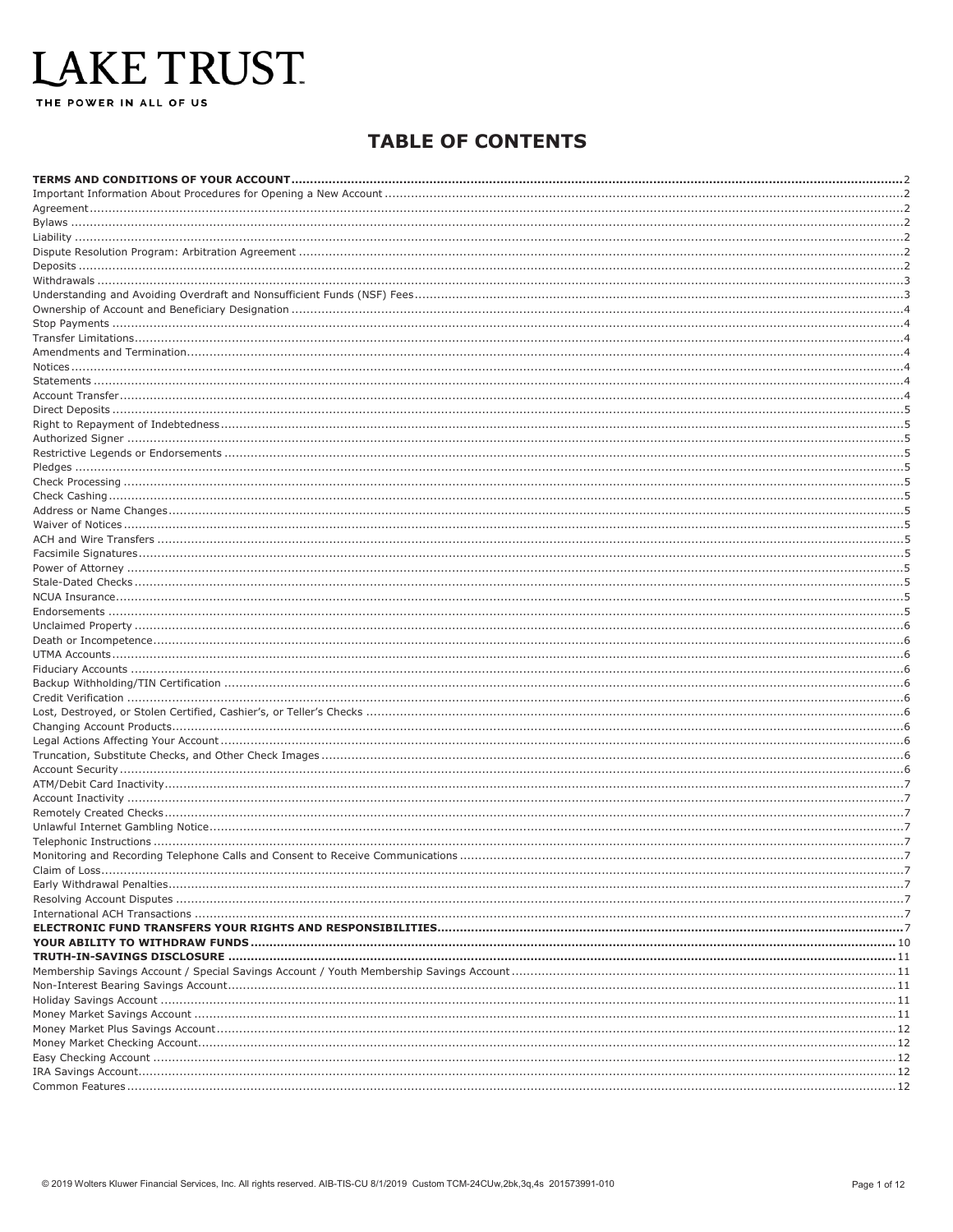# LAKE TRUST

THE POWER IN ALL OF US

### **TABLE OF CONTENTS**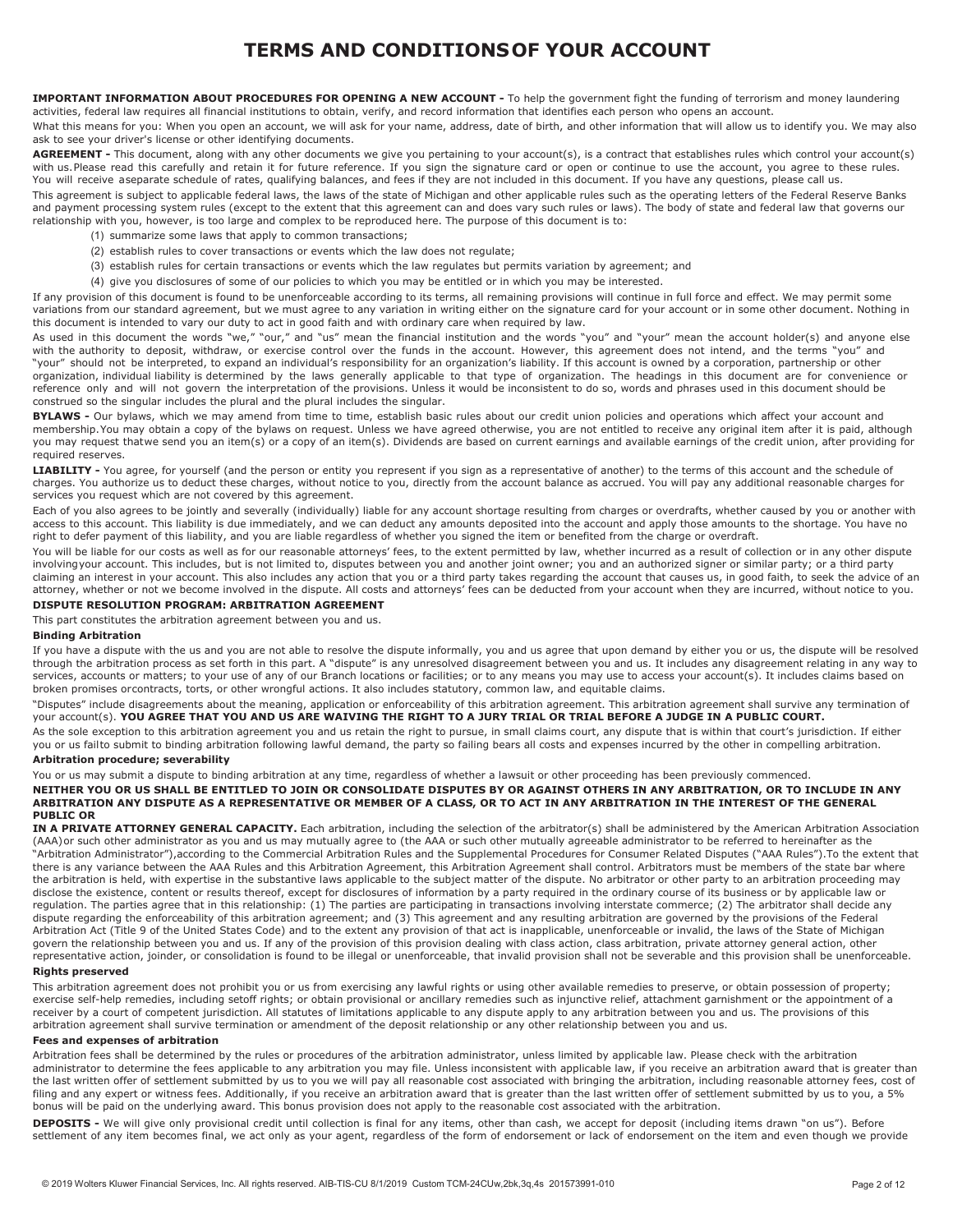### **TERMS AND CONDITIONSOF YOUR ACCOUNT**

<span id="page-1-0"></span>**IMPORTANT INFORMATION ABOUT PROCEDURES FOR OPENING A NEW ACCOUNT -** To help the government fight the funding of terrorism and money laundering activities, federal law requires all financial institutions to obtain, verify, and record information that identifies each person who opens an account.

What this means for you: When you open an account, we will ask for your name, address, date of birth, and other information that will allow us to identify you. We may also ask to see your driver's license or other identifying documents.

AGREEMENT - This document, along with any other documents we give you pertaining to your account(s), is a contract that establishes rules which control your account(s) with us.Please read this carefully and retain it for future reference. If you sign the signature card or open or continue to use the account, you agree to these rules. You will receive aseparate schedule of rates, qualifying balances, and fees if they are not included in this document. If you have any questions, please call us.

This agreement is subject to applicable federal laws, the laws of the state of Michigan and other applicable rules such as the operating letters of the Federal Reserve Banks and payment processing system rules (except to the extent that this agreement can and does vary such rules or laws). The body of state and federal law that governs our relationship with you, however, is too large and complex to be reproduced here. The purpose of this document is to:

- (1) summarize some laws that apply to common transactions;
- (2) establish rules to cover transactions or events which the law does not regulate;
- (3) establish rules for certain transactions or events which the law regulates but permits variation by agreement; and
- (4) give you disclosures of some of our policies to which you may be entitled or in which you may be interested.

If any provision of this document is found to be unenforceable according to its terms, all remaining provisions will continue in full force and effect. We may permit some variations from our standard agreement, but we must agree to any variation in writing either on the signature card for your account or in some other document. Nothing in this document is intended to vary our duty to act in good faith and with ordinary care when required by law.

As used in this document the words "we," "our," and "us" mean the financial institution and the words "you" and "your" mean the account holder(s) and anyone else with the authority to deposit, withdraw, or exercise control over the funds in the account. However, this agreement does not intend, and the terms "you" and "your" should not be interpreted, to expand an individual's responsibility for an organization's liability. If this account is owned by a corporation, partnership or other organization, individual liability is determined by the laws generally applicable to that type of organization. The headings in this document are for convenience or reference only and will not govern the interpretation of the provisions. Unless it would be inconsistent to do so, words and phrases used in this document should be construed so the singular includes the plural and the plural includes the singular.

**BYLAWS -** Our bylaws, which we may amend from time to time, establish basic rules about our credit union policies and operations which affect your account and membership.You may obtain a copy of the bylaws on request. Unless we have agreed otherwise, you are not entitled to receive any original item after it is paid, although you may request thatwe send you an item(s) or a copy of an item(s). Dividends are based on current earnings and available earnings of the credit union, after providing for required reserves.

LIABILITY - You agree, for yourself (and the person or entity you represent if you sign as a representative of another) to the terms of this account and the schedule of charges. You authorize us to deduct these charges, without notice to you, directly from the account balance as accrued. You will pay any additional reasonable charges for services you request which are not covered by this agreement.

Each of you also agrees to be jointly and severally (individually) liable for any account shortage resulting from charges or overdrafts, whether caused by you or another with access to this account. This liability is due immediately, and we can deduct any amounts deposited into the account and apply those amounts to the shortage. You have no right to defer payment of this liability, and you are liable regardless of whether you signed the item or benefited from the charge or overdraft.

You will be liable for our costs as well as for our reasonable attorneys' fees, to the extent permitted by law, whether incurred as a result of collection or in any other dispute involvingyour account. This includes, but is not limited to, disputes between you and another joint owner; you and an authorized signer or similar party; or a third party claiming an interest in your account. This also includes any action that you or a third party takes regarding the account that causes us, in good faith, to seek the advice of an attorney, whether or not we become involved in the dispute. All costs and attorneys' fees can be deducted from your account when they are incurred, without notice to you.

#### <span id="page-1-1"></span>**DISPUTE RESOLUTION PROGRAM: ARBITRATION AGREEMENT**

This part constitutes the arbitration agreement between you and us.

#### **Binding Arbitration**

If you have a dispute with the us and you are not able to resolve the dispute informally, you and us agree that upon demand by either you or us, the dispute will be resolved through the arbitration process as set forth in this part. A "dispute" is any unresolved disagreement between you and us. It includes any disagreement relating in any way to services, accounts or matters; to your use of any of our Branch locations or facilities; or to any means you may use to access your account(s). It includes claims based on broken promises orcontracts, torts, or other wrongful actions. It also includes statutory, common law, and equitable claims.

"Disputes" include disagreements about the meaning, application or enforceability of this arbitration agreement. This arbitration agreement shall survive any termination of your account(s). **YOU AGREE THAT YOU AND US ARE WAIVING THE RIGHT TO A JURY TRIAL OR TRIAL BEFORE A JUDGE IN A PUBLIC COURT.**

As the sole exception to this arbitration agreement you and us retain the right to pursue, in small claims court, any dispute that is within that court's jurisdiction. If either you or us failto submit to binding arbitration following lawful demand, the party so failing bears all costs and expenses incurred by the other in compelling arbitration. **Arbitration procedure; severability**

You or us may submit a dispute to binding arbitration at any time, regardless of whether a lawsuit or other proceeding has been previously commenced.

**NEITHER YOU OR US SHALL BE ENTITLED TO JOIN OR CONSOLIDATE DISPUTES BY OR AGAINST OTHERS IN ANY ARBITRATION, OR TO INCLUDE IN ANY** ARBITRATION ANY DISPUTE AS A REPRESENTATIVE OR MEMBER OF A CLASS, OR TO ACT IN ANY ARBITRATION IN THE INTEREST OF THE GENERAL **PUBLIC OR**

**IN A PRIVATE ATTORNEY GENERAL CAPACITY.** Each arbitration, including the selection of the arbitrator(s) shall be administered by the American Arbitration Association (AAA)or such other administrator as you and us may mutually agree to (the AAA or such other mutually agreeable administrator to be referred to hereinafter as the "Arbitration Administrator"),according to the Commercial Arbitration Rules and the Supplemental Procedures for Consumer Related Disputes ("AAA Rules").To the extent that there is any variance between the AAA Rules and this Arbitration Agreement, this Arbitration Agreement shall control. Arbitrators must be members of the state bar where the arbitration is held, with expertise in the substantive laws applicable to the subject matter of the dispute. No arbitrator or other party to an arbitration proceeding may disclose the existence, content or results thereof, except for disclosures of information by a party required in the ordinary course of its business or by applicable law or regulation. The parties agree that in this relationship: (1) The parties are participating in transactions involving interstate commerce; (2) The arbitrator shall decide any dispute regarding the enforceability of this arbitration agreement; and (3) This agreement and any resulting arbitration are governed by the provisions of the Federal Arbitration Act (Title 9 of the United States Code) and to the extent any provision of that act is inapplicable, unenforceable or invalid, the laws of the State of Michigan govern the relationship between you and us. If any of the provision of this provision dealing with class action, class arbitration, private attorney general action, other representative action, joinder, or consolidation is found to be illegal or unenforceable, that invalid provision shall not be severable and this provision shall be unenforceable.

#### **Rights preserved**

This arbitration agreement does not prohibit you or us from exercising any lawful rights or using other available remedies to preserve, or obtain possession of property; exercise self-help remedies, including setoff rights; or obtain provisional or ancillary remedies such as injunctive relief, attachment garnishment or the appointment of a receiver by a court of competent jurisdiction. All statutes of limitations applicable to any dispute apply to any arbitration between you and us. The provisions of this arbitration agreement shall survive termination or amendment of the deposit relationship or any other relationship between you and us.

#### **Fees and expenses of arbitration**

Arbitration fees shall be determined by the rules or procedures of the arbitration administrator, unless limited by applicable law. Please check with the arbitration administrator to determine the fees applicable to any arbitration you may file. Unless inconsistent with applicable law, if you receive an arbitration award that is greater than the last written offer of settlement submitted by us to you we will pay all reasonable cost associated with bringing the arbitration, including reasonable attorney fees, cost of filing and any expert or witness fees. Additionally, if you receive an arbitration award that is greater than the last written offer of settlement submitted by us to you, a 5% bonus will be paid on the underlying award. This bonus provision does not apply to the reasonable cost associated with the arbitration.

**DEPOSITS -** We will give only provisional credit until collection is final for any items, other than cash, we accept for deposit (including items drawn "on us"). Before settlement of any item becomes final, we act only as your agent, regardless of the form of endorsement or lack of endorsement on the item and even though we provide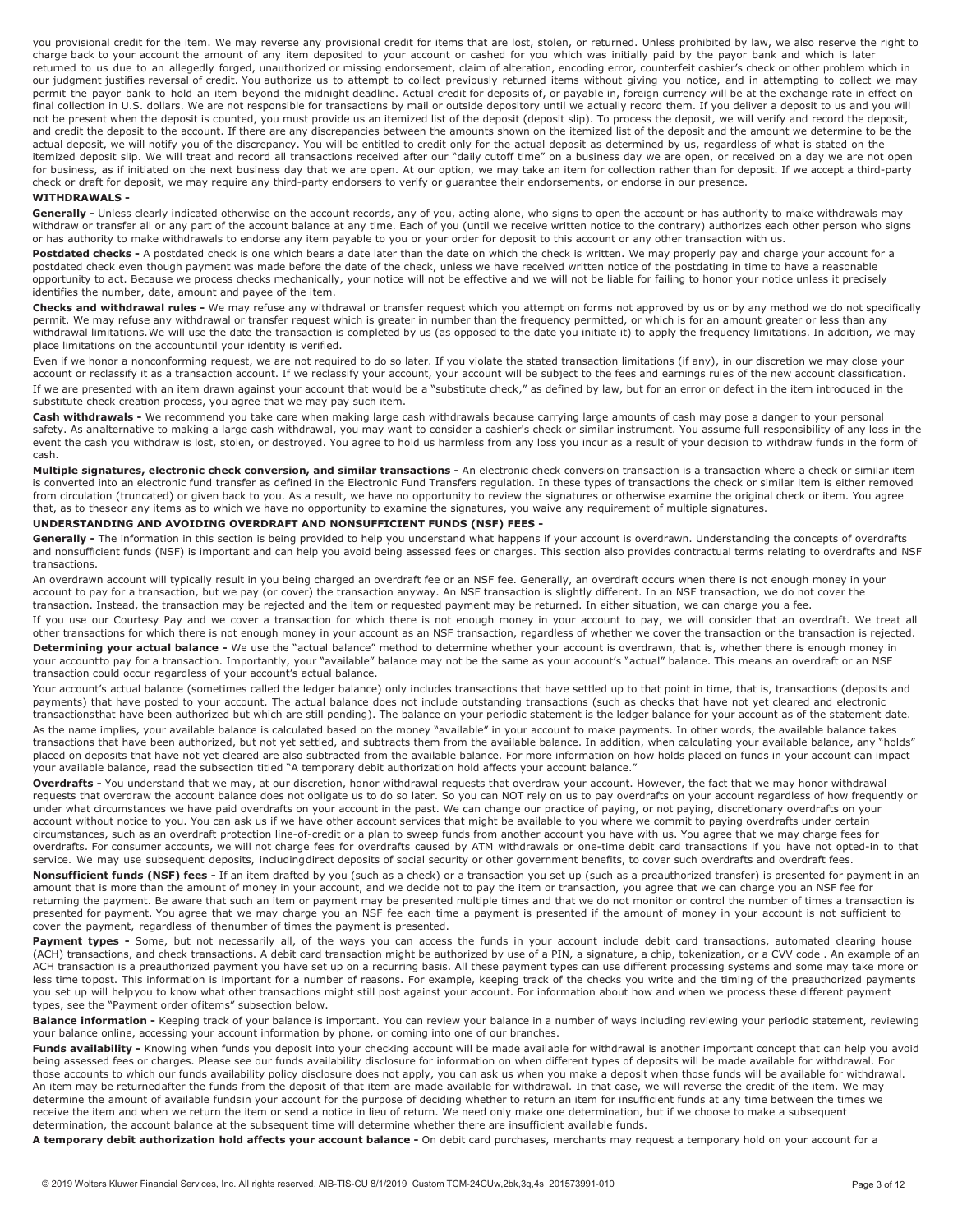you provisional credit for the item. We may reverse any provisional credit for items that are lost, stolen, or returned. Unless prohibited by law, we also reserve the right to charge back to your account the amount of any item deposited to your account or cashed for you which was initially paid by the payor bank and which is later returned to us due to an allegedly forged, unauthorized or missing endorsement, claim of alteration, encoding error, counterfeit cashier's check or other problem which in our judgment justifies reversal of credit. You authorize us to attempt to collect previously returned items without giving you notice, and in attempting to collect we may permit the payor bank to hold an item beyond the midnight deadline. Actual credit for deposits of, or payable in, foreign currency will be at the exchange rate in effect on final collection in U.S. dollars. We are not responsible for transactions by mail or outside depository until we actually record them. If you deliver a deposit to us and you will not be present when the deposit is counted, you must provide us an itemized list of the deposit (deposit slip). To process the deposit, we will verify and record the deposit, and credit the deposit to the account. If there are any discrepancies between the amounts shown on the itemized list of the deposit and the amount we determine to be the actual deposit, we will notify you of the discrepancy. You will be entitled to credit only for the actual deposit as determined by us, regardless of what is stated on the itemized deposit slip. We will treat and record all transactions received after our "daily cutoff time" on a business day we are open, or received on a day we are not open for business, as if initiated on the next business day that we are open. At our option, we may take an item for collection rather than for deposit. If we accept a third-party check or draft for deposit, we may require any third-party endorsers to verify or guarantee their endorsements, or endorse in our presence.

#### <span id="page-2-0"></span>**WITHDRAWALS -**

Generally - Unless clearly indicated otherwise on the account records, any of you, acting alone, who signs to open the account or has authority to make withdrawals may withdraw or transfer all or any part of the account balance at any time. Each of you (until we receive written notice to the contrary) authorizes each other person who signs or has authority to make withdrawals to endorse any item payable to you or your order for deposit to this account or any other transaction with us.

Postdated checks - A postdated check is one which bears a date later than the date on which the check is written. We may properly pay and charge your account for a postdated check even though payment was made before the date of the check, unless we have received written notice of the postdating in time to have a reasonable opportunity to act. Because we process checks mechanically, your notice will not be effective and we will not be liable for failing to honor your notice unless it precisely identifies the number, date, amount and payee of the item.

**Checks and withdrawal rules -** We may refuse any withdrawal or transfer request which you attempt on forms not approved by us or by any method we do not specifically permit. We may refuse any withdrawal or transfer request which is greater in number than the frequency permitted, or which is for an amount greater or less than any withdrawal limitations.We will use the date the transaction is completed by us (as opposed to the date you initiate it) to apply the frequency limitations. In addition, we may place limitations on the accountuntil your identity is verified.

Even if we honor a nonconforming request, we are not required to do so later. If you violate the stated transaction limitations (if any), in our discretion we may close your account or reclassify it as a transaction account. If we reclassify your account, your account will be subject to the fees and earnings rules of the new account classification. If we are presented with an item drawn against your account that would be a "substitute check," as defined by law, but for an error or defect in the item introduced in the substitute check creation process, you agree that we may pay such item.

**Cash withdrawals -** We recommend you take care when making large cash withdrawals because carrying large amounts of cash may pose a danger to your personal safety. As analternative to making a large cash withdrawal, you may want to consider a cashier's check or similar instrument. You assume full responsibility of any loss in the event the cash you withdraw is lost, stolen, or destroyed. You agree to hold us harmless from any loss you incur as a result of your decision to withdraw funds in the form of cash.

Multiple signatures, electronic check conversion, and similar transactions - An electronic check conversion transaction is a transaction where a check or similar item is converted into an electronic fund transfer as defined in the Electronic Fund Transfers regulation. In these types of transactions the check or similar item is either removed from circulation (truncated) or given back to you. As a result, we have no opportunity to review the signatures or otherwise examine the original check or item. You agree that, as to theseor any items as to which we have no opportunity to examine the signatures, you waive any requirement of multiple signatures.

#### <span id="page-2-1"></span>**UNDERSTANDING AND AVOIDING OVERDRAFT AND NONSUFFICIENT FUNDS (NSF) FEES -**

Generally - The information in this section is being provided to help you understand what happens if your account is overdrawn. Understanding the concepts of overdrafts and nonsufficient funds (NSF) is important and can help you avoid being assessed fees or charges. This section also provides contractual terms relating to overdrafts and NSF transactions.

An overdrawn account will typically result in you being charged an overdraft fee or an NSF fee. Generally, an overdraft occurs when there is not enough money in your account to pay for a transaction, but we pay (or cover) the transaction anyway. An NSF transaction is slightly different. In an NSF transaction, we do not cover the transaction. Instead, the transaction may be rejected and the item or requested payment may be returned. In either situation, we can charge you a fee.

If you use our Courtesy Pay and we cover a transaction for which there is not enough money in your account to pay, we will consider that an overdraft. We treat all other transactions for which there is not enough money in your account as an NSF transaction, regardless of whether we cover the transaction or the transaction is rejected. **Determining your actual balance -** We use the "actual balance" method to determine whether your account is overdrawn, that is, whether there is enough money in your accountto pay for a transaction. Importantly, your "available" balance may not be the same as your account's "actual" balance. This means an overdraft or an NSF transaction could occur regardless of your account's actual balance.

Your account's actual balance (sometimes called the ledger balance) only includes transactions that have settled up to that point in time, that is, transactions (deposits and payments) that have posted to your account. The actual balance does not include outstanding transactions (such as checks that have not yet cleared and electronic transactionsthat have been authorized but which are still pending). The balance on your periodic statement is the ledger balance for your account as of the statement date. As the name implies, your available balance is calculated based on the money "available" in your account to make payments. In other words, the available balance takes transactions that have been authorized, but not yet settled, and subtracts them from the available balance. In addition, when calculating your available balance, any "holds" placed on deposits that have not yet cleared are also subtracted from the available balance. For more information on how holds placed on funds in your account can impact your available balance, read the subsection titled "A temporary debit authorization hold affects your account balance."

**Overdrafts -** You understand that we may, at our discretion, honor withdrawal requests that overdraw your account. However, the fact that we may honor withdrawal requests that overdraw the account balance does not obligate us to do so later. So you can NOT rely on us to pay overdrafts on your account regardless of how frequently or under what circumstances we have paid overdrafts on your account in the past. We can change our practice of paying, or not paying, discretionary overdrafts on your account without notice to you. You can ask us if we have other account services that might be available to you where we commit to paying overdrafts under certain circumstances, such as an overdraft protection line-of-credit or a plan to sweep funds from another account you have with us. You agree that we may charge fees for overdrafts. For consumer accounts, we will not charge fees for overdrafts caused by ATM withdrawals or one-time debit card transactions if you have not opted-in to that service. We may use subsequent deposits, includingdirect deposits of social security or other government benefits, to cover such overdrafts and overdraft fees.

**Nonsufficient funds (NSF) fees -** If an item drafted by you (such as a check) or a transaction you set up (such as a preauthorized transfer) is presented for payment in an amount that is more than the amount of money in your account, and we decide not to pay the item or transaction, you agree that we can charge you an NSF fee for returning the payment. Be aware that such an item or payment may be presented multiple times and that we do not monitor or control the number of times a transaction is presented for payment. You agree that we may charge you an NSF fee each time a payment is presented if the amount of money in your account is not sufficient to cover the payment, regardless of thenumber of times the payment is presented.

Payment types - Some, but not necessarily all, of the ways you can access the funds in your account include debit card transactions, automated clearing house (ACH) transactions, and check transactions. A debit card transaction might be authorized by use of a PIN, a signature, a chip, tokenization, or a CVV code . An example of an ACH transaction is a preauthorized payment you have set up on a recurring basis. All these payment types can use different processing systems and some may take more or less time topost. This information is important for a number of reasons. For example, keeping track of the checks you write and the timing of the preauthorized payments you set up will helpyou to know what other transactions might still post against your account. For information about how and when we process these different payment types, see the "Payment order ofitems" subsection below.

Balance information - Keeping track of your balance is important. You can review your balance in a number of ways including reviewing your periodic statement, reviewing your balance online, accessing your account information by phone, or coming into one of our branches.

Funds availability - Knowing when funds you deposit into your checking account will be made available for withdrawal is another important concept that can help you avoid being assessed fees or charges. Please see our funds availability disclosure for information on when different types of deposits will be made available for withdrawal. For those accounts to which our funds availability policy disclosure does not apply, you can ask us when you make a deposit when those funds will be available for withdrawal. An item may be returnedafter the funds from the deposit of that item are made available for withdrawal. In that case, we will reverse the credit of the item. We may determine the amount of available fundsin your account for the purpose of deciding whether to return an item for insufficient funds at any time between the times we receive the item and when we return the item or send a notice in lieu of return. We need only make one determination, but if we choose to make a subsequent determination, the account balance at the subsequent time will determine whether there are insufficient available funds.

A temporary debit authorization hold affects your account balance - On debit card purchases, merchants may request a temporary hold on your account for a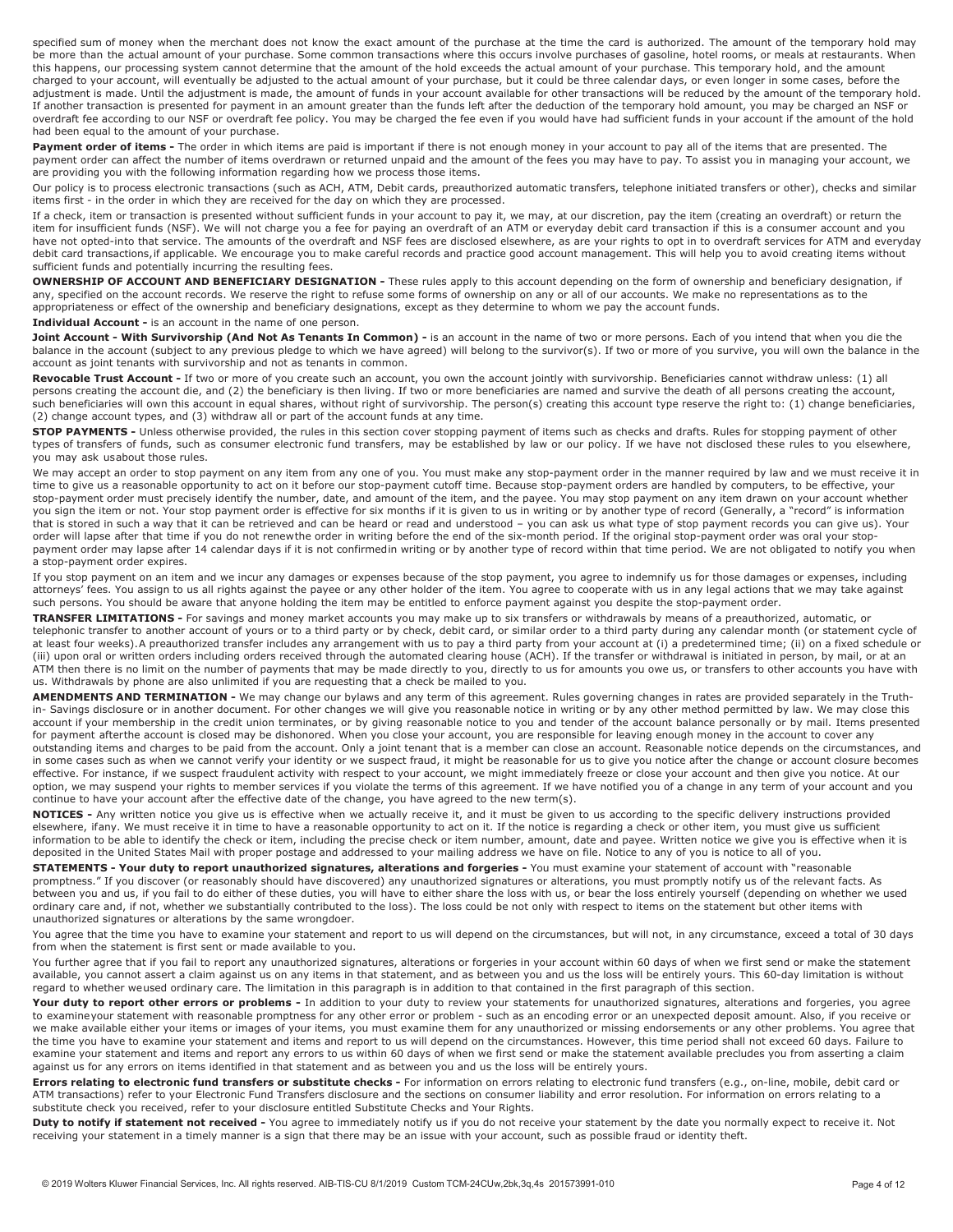specified sum of money when the merchant does not know the exact amount of the purchase at the time the card is authorized. The amount of the temporary hold may be more than the actual amount of your purchase. Some common transactions where this occurs involve purchases of gasoline, hotel rooms, or meals at restaurants. When this happens, our processing system cannot determine that the amount of the hold exceeds the actual amount of your purchase. This temporary hold, and the amount charged to your account, will eventually be adjusted to the actual amount of your purchase, but it could be three calendar days, or even longer in some cases, before the adjustment is made. Until the adjustment is made, the amount of funds in your account available for other transactions will be reduced by the amount of the temporary hold. If another transaction is presented for payment in an amount greater than the funds left after the deduction of the temporary hold amount, you may be charged an NSF or overdraft fee according to our NSF or overdraft fee policy. You may be charged the fee even if you would have had sufficient funds in your account if the amount of the hold had been equal to the amount of your purchase.

Payment order of items - The order in which items are paid is important if there is not enough money in your account to pay all of the items that are presented. The payment order can affect the number of items overdrawn or returned unpaid and the amount of the fees you may have to pay. To assist you in managing your account, we are providing you with the following information regarding how we process those items.

Our policy is to process electronic transactions (such as ACH, ATM, Debit cards, preauthorized automatic transfers, telephone initiated transfers or other), checks and similar items first - in the order in which they are received for the day on which they are processed.

If a check, item or transaction is presented without sufficient funds in your account to pay it, we may, at our discretion, pay the item (creating an overdraft) or return the item for insufficient funds (NSF). We will not charge you a fee for paying an overdraft of an ATM or everyday debit card transaction if this is a consumer account and you have not opted-into that service. The amounts of the overdraft and NSF fees are disclosed elsewhere, as are your rights to opt in to overdraft services for ATM and everyday debit card transactions,if applicable. We encourage you to make careful records and practice good account management. This will help you to avoid creating items without sufficient funds and potentially incurring the resulting fees.

**OWNERSHIP OF ACCOUNT AND BENEFICIARY DESIGNATION -** These rules apply to this account depending on the form of ownership and beneficiary designation, if any, specified on the account records. We reserve the right to refuse some forms of ownership on any or all of our accounts. We make no representations as to the appropriateness or effect of the ownership and beneficiary designations, except as they determine to whom we pay the account funds.

**Individual Account -** is an account in the name of one person.

Joint Account - With Survivorship (And Not As Tenants In Common) - is an account in the name of two or more persons. Each of you intend that when you die the balance in the account (subject to any previous pledge to which we have agreed) will belong to the survivor(s). If two or more of you survive, you will own the balance in the account as joint tenants with survivorship and not as tenants in common.

Revocable Trust Account - If two or more of you create such an account, you own the account jointly with survivorship. Beneficiaries cannot withdraw unless: (1) all persons creating the account die, and (2) the beneficiary is then living. If two or more beneficiaries are named and survive the death of all persons creating the account, such beneficiaries will own this account in equal shares, without right of survivorship. The person(s) creating this account type reserve the right to: (1) change beneficiaries, (2) change account types, and (3) withdraw all or part of the account funds at any time.

**STOP PAYMENTS -** Unless otherwise provided, the rules in this section cover stopping payment of items such as checks and drafts. Rules for stopping payment of other types of transfers of funds, such as consumer electronic fund transfers, may be established by law or our policy. If we have not disclosed these rules to you elsewhere, you may ask usabout those rules.

We may accept an order to stop payment on any item from any one of you. You must make any stop-payment order in the manner required by law and we must receive it in time to give us a reasonable opportunity to act on it before our stop-payment cutoff time. Because stop-payment orders are handled by computers, to be effective, your stop-payment order must precisely identify the number, date, and amount of the item, and the payee. You may stop payment on any item drawn on your account whether you sign the item or not. Your stop payment order is effective for six months if it is given to us in writing or by another type of record (Generally, a "record" is information that is stored in such a way that it can be retrieved and can be heard or read and understood – you can ask us what type of stop payment records you can give us). Your order will lapse after that time if you do not renewthe order in writing before the end of the six-month period. If the original stop-payment order was oral your stoppayment order may lapse after 14 calendar days if it is not confirmedin writing or by another type of record within that time period. We are not obligated to notify you when a stop-payment order expires.

If you stop payment on an item and we incur any damages or expenses because of the stop payment, you agree to indemnify us for those damages or expenses, including attorneys' fees. You assign to us all rights against the payee or any other holder of the item. You agree to cooperate with us in any legal actions that we may take against such persons. You should be aware that anyone holding the item may be entitled to enforce payment against you despite the stop-payment order.

**TRANSFER LIMITATIONS -** For savings and money market accounts you may make up to six transfers or withdrawals by means of a preauthorized, automatic, or telephonic transfer to another account of yours or to a third party or by check, debit card, or similar order to a third party during any calendar month (or statement cycle of at least four weeks).A preauthorized transfer includes any arrangement with us to pay a third party from your account at (i) a predetermined time; (ii) on a fixed schedule or (iii) upon oral or written orders including orders received through the automated clearing house (ACH). If the transfer or withdrawal is initiated in person, by mail, or at an ATM then there is no limit on the number of payments that may be made directly to you, directly to us for amounts you owe us, or transfers to other accounts you have with us. Withdrawals by phone are also unlimited if you are requesting that a check be mailed to you.

**AMENDMENTS AND TERMINATION -** We may change our bylaws and any term of this agreement. Rules governing changes in rates are provided separately in the Truthin- Savings disclosure or in another document. For other changes we will give you reasonable notice in writing or by any other method permitted by law. We may close this account if your membership in the credit union terminates, or by giving reasonable notice to you and tender of the account balance personally or by mail. Items presented for payment afterthe account is closed may be dishonored. When you close your account, you are responsible for leaving enough money in the account to cover any outstanding items and charges to be paid from the account. Only a joint tenant that is a member can close an account. Reasonable notice depends on the circumstances, and in some cases such as when we cannot verify your identity or we suspect fraud, it might be reasonable for us to give you notice after the change or account closure becomes effective. For instance, if we suspect fraudulent activity with respect to your account, we might immediately freeze or close your account and then give you notice. At our option, we may suspend your rights to member services if you violate the terms of this agreement. If we have notified you of a change in any term of your account and you continue to have your account after the effective date of the change, you have agreed to the new term(s).

**NOTICES -** Any written notice you give us is effective when we actually receive it, and it must be given to us according to the specific delivery instructions provided elsewhere, ifany. We must receive it in time to have a reasonable opportunity to act on it. If the notice is regarding a check or other item, you must give us sufficient information to be able to identify the check or item, including the precise check or item number, amount, date and payee. Written notice we give you is effective when it is deposited in the United States Mail with proper postage and addressed to your mailing address we have on file. Notice to any of you is notice to all of you.

**STATEMENTS - Your duty to report unauthorized signatures, alterations and forgeries -** You must examine your statement of account with "reasonable promptness." If you discover (or reasonably should have discovered) any unauthorized signatures or alterations, you must promptly notify us of the relevant facts. As between you and us, if you fail to do either of these duties, you will have to either share the loss with us, or bear the loss entirely yourself (depending on whether we used ordinary care and, if not, whether we substantially contributed to the loss). The loss could be not only with respect to items on the statement but other items with unauthorized signatures or alterations by the same wrongdoer.

You agree that the time you have to examine your statement and report to us will depend on the circumstances, but will not, in any circumstance, exceed a total of 30 days from when the statement is first sent or made available to you.

You further agree that if you fail to report any unauthorized signatures, alterations or forgeries in your account within 60 days of when we first send or make the statement available, you cannot assert a claim against us on any items in that statement, and as between you and us the loss will be entirely yours. This 60-day limitation is without regard to whether weused ordinary care. The limitation in this paragraph is in addition to that contained in the first paragraph of this section.

Your duty to report other errors or problems - In addition to your duty to review your statements for unauthorized signatures, alterations and forgeries, you agree to examineyour statement with reasonable promptness for any other error or problem - such as an encoding error or an unexpected deposit amount. Also, if you receive or we make available either your items or images of your items, you must examine them for any unauthorized or missing endorsements or any other problems. You agree that the time you have to examine your statement and items and report to us will depend on the circumstances. However, this time period shall not exceed 60 days. Failure to examine your statement and items and report any errors to us within 60 days of when we first send or make the statement available precludes you from asserting a claim against us for any errors on items identified in that statement and as between you and us the loss will be entirely yours.

**Errors relating to electronic fund transfers or substitute checks -** For information on errors relating to electronic fund transfers (e.g., on-line, mobile, debit card or ATM transactions) refer to your Electronic Fund Transfers disclosure and the sections on consumer liability and error resolution. For information on errors relating to a substitute check you received, refer to your disclosure entitled Substitute Checks and Your Rights.

**Duty to notify if statement not received -** You agree to immediately notify us if you do not receive your statement by the date you normally expect to receive it. Not receiving your statement in a timely manner is a sign that there may be an issue with your account, such as possible fraud or identity theft.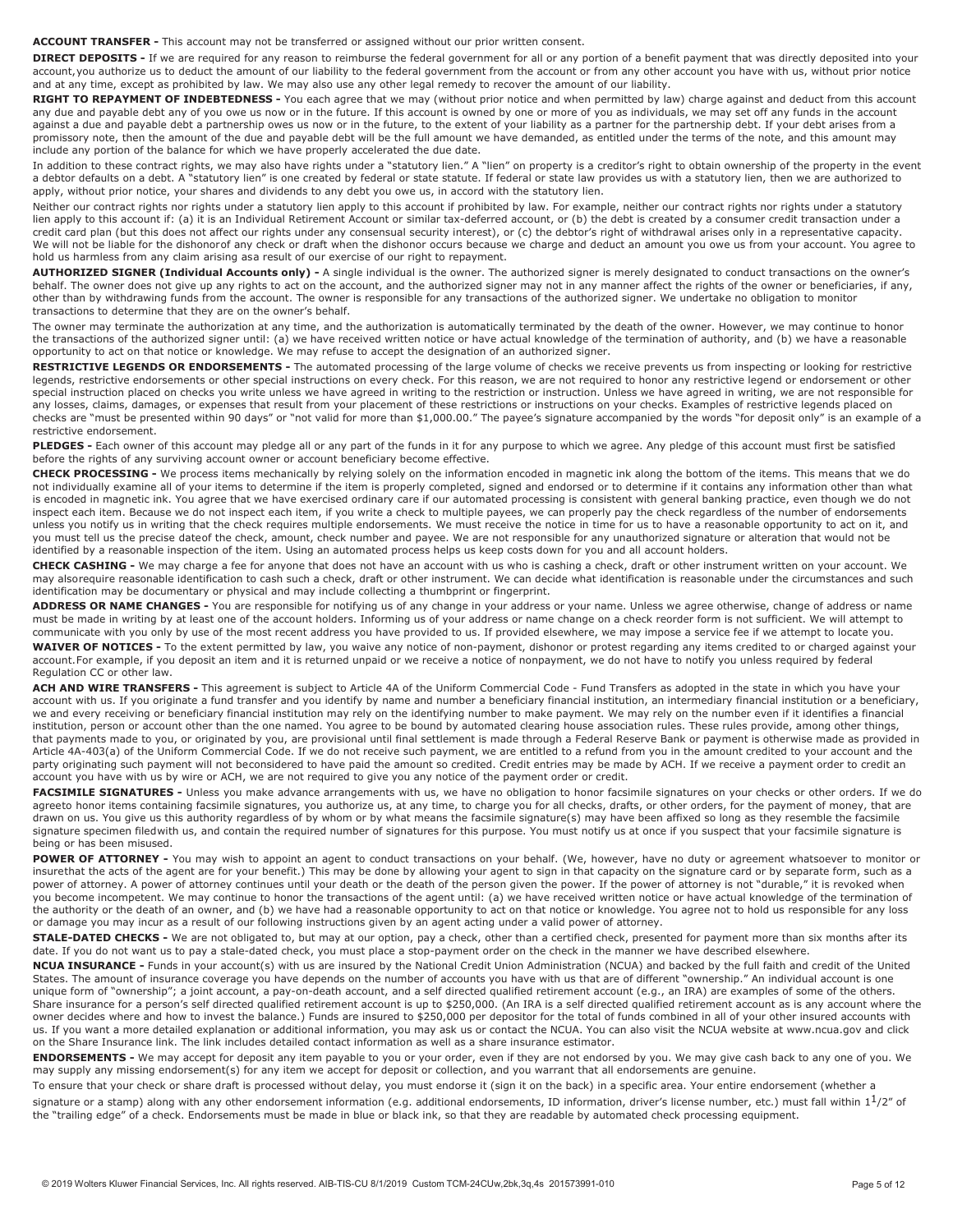**ACCOUNT TRANSFER -** This account may not be transferred or assigned without our prior written consent.

**DIRECT DEPOSITS** - If we are required for any reason to reimburse the federal government for all or any portion of a benefit payment that was directly deposited into your account, you authorize us to deduct the amount of our liability to the federal government from the account or from any other account you have with us, without prior notice and at any time, except as prohibited by law. We may also use any other legal remedy to recover the amount of our liability.

**RIGHT TO REPAYMENT OF INDEBTEDNESS -** You each agree that we may (without prior notice and when permitted by law) charge against and deduct from this account any due and payable debt any of you owe us now or in the future. If this account is owned by one or more of you as individuals, we may set off any funds in the account against a due and payable debt a partnership owes us now or in the future, to the extent of your liability as a partner for the partnership debt. If your debt arises from a promissory note, then the amount of the due and payable debt will be the full amount we have demanded, as entitled under the terms of the note, and this amount may include any portion of the balance for which we have properly accelerated the due date.

In addition to these contract rights, we may also have rights under a "statutory lien." A "lien" on property is a creditor's right to obtain ownership of the property in the event a debtor defaults on a debt. A "statutory lien" is one created by federal or state statute. If federal or state law provides us with a statutory lien, then we are authorized to apply, without prior notice, your shares and dividends to any debt you owe us, in accord with the statutory lien.

Neither our contract rights nor rights under a statutory lien apply to this account if prohibited by law. For example, neither our contract rights nor rights under a statutory lien apply to this account if: (a) it is an Individual Retirement Account or similar tax-deferred account, or (b) the debt is created by a consumer credit transaction under a credit card plan (but this does not affect our rights under any consensual security interest), or (c) the debtor's right of withdrawal arises only in a representative capacity. We will not be liable for the dishonorof any check or draft when the dishonor occurs because we charge and deduct an amount you owe us from your account. You agree to hold us harmless from any claim arising asa result of our exercise of our right to repayment.

AUTHORIZED SIGNER (Individual Accounts only) - A single individual is the owner. The authorized signer is merely designated to conduct transactions on the owner's behalf. The owner does not give up any rights to act on the account, and the authorized signer may not in any manner affect the rights of the owner or beneficiaries, if any, other than by withdrawing funds from the account. The owner is responsible for any transactions of the authorized signer. We undertake no obligation to monitor transactions to determine that they are on the owner's behalf.

The owner may terminate the authorization at any time, and the authorization is automatically terminated by the death of the owner. However, we may continue to honor the transactions of the authorized signer until: (a) we have received written notice or have actual knowledge of the termination of authority, and (b) we have a reasonable opportunity to act on that notice or knowledge. We may refuse to accept the designation of an authorized signer.

**RESTRICTIVE LEGENDS OR ENDORSEMENTS -** The automated processing of the large volume of checks we receive prevents us from inspecting or looking for restrictive legends, restrictive endorsements or other special instructions on every check. For this reason, we are not required to honor any restrictive legend or endorsement or other special instruction placed on checks you write unless we have agreed in writing to the restriction or instruction. Unless we have agreed in writing, we are not responsible for any losses, claims, damages, or expenses that result from your placement of these restrictions or instructions on your checks. Examples of restrictive legends placed on checks are "must be presented within 90 days" or "not valid for more than \$1,000.00." The payee's signature accompanied by the words "for deposit only" is an example of a restrictive endorsement.

**PLEDGES -** Each owner of this account may pledge all or any part of the funds in it for any purpose to which we agree. Any pledge of this account must first be satisfied before the rights of any surviving account owner or account beneficiary become effective.

**CHECK PROCESSING -** We process items mechanically by relying solely on the information encoded in magnetic ink along the bottom of the items. This means that we do not individually examine all of your items to determine if the item is properly completed, signed and endorsed or to determine if it contains any information other than what is encoded in magnetic ink. You agree that we have exercised ordinary care if our automated processing is consistent with general banking practice, even though we do not inspect each item. Because we do not inspect each item, if you write a check to multiple payees, we can properly pay the check regardless of the number of endorsements unless you notify us in writing that the check requires multiple endorsements. We must receive the notice in time for us to have a reasonable opportunity to act on it, and you must tell us the precise dateof the check, amount, check number and payee. We are not responsible for any unauthorized signature or alteration that would not be identified by a reasonable inspection of the item. Using an automated process helps us keep costs down for you and all account holders.

**CHECK CASHING -** We may charge a fee for anyone that does not have an account with us who is cashing a check, draft or other instrument written on your account. We may alsorequire reasonable identification to cash such a check, draft or other instrument. We can decide what identification is reasonable under the circumstances and such identification may be documentary or physical and may include collecting a thumbprint or fingerprint.

**ADDRESS OR NAME CHANGES -** You are responsible for notifying us of any change in your address or your name. Unless we agree otherwise, change of address or name must be made in writing by at least one of the account holders. Informing us of your address or name change on a check reorder form is not sufficient. We will attempt to communicate with you only by use of the most recent address you have provided to us. If provided elsewhere, we may impose a service fee if we attempt to locate you. **WAIVER OF NOTICES -** To the extent permitted by law, you waive any notice of non-payment, dishonor or protest regarding any items credited to or charged against your account.For example, if you deposit an item and it is returned unpaid or we receive a notice of nonpayment, we do not have to notify you unless required by federal Regulation CC or other law.

ACH AND WIRE TRANSFERS - This agreement is subject to Article 4A of the Uniform Commercial Code - Fund Transfers as adopted in the state in which you have your account with us. If you originate a fund transfer and you identify by name and number a beneficiary financial institution, an intermediary financial institution or a beneficiary, we and every receiving or beneficiary financial institution may rely on the identifying number to make payment. We may rely on the number even if it identifies a financial institution, person or account other than the one named. You agree to be bound by automated clearing house association rules. These rules provide, among other things, that payments made to you, or originated by you, are provisional until final settlement is made through a Federal Reserve Bank or payment is otherwise made as provided in Article 4A-403(a) of the Uniform Commercial Code. If we do not receive such payment, we are entitled to a refund from you in the amount credited to your account and the party originating such payment will not beconsidered to have paid the amount so credited. Credit entries may be made by ACH. If we receive a payment order to credit an account you have with us by wire or ACH, we are not required to give you any notice of the payment order or credit.

FACSIMILE SIGNATURES - Unless you make advance arrangements with us, we have no obligation to honor facsimile signatures on your checks or other orders. If we do agreeto honor items containing facsimile signatures, you authorize us, at any time, to charge you for all checks, drafts, or other orders, for the payment of money, that are drawn on us. You give us this authority regardless of by whom or by what means the facsimile signature(s) may have been affixed so long as they resemble the facsimile signature specimen filedwith us, and contain the required number of signatures for this purpose. You must notify us at once if you suspect that your facsimile signature is being or has been misused.

POWER OF ATTORNEY - You may wish to appoint an agent to conduct transactions on your behalf. (We, however, have no duty or agreement whatsoever to monitor or insurethat the acts of the agent are for your benefit.) This may be done by allowing your agent to sign in that capacity on the signature card or by separate form, such as a power of attorney. A power of attorney continues until your death or the death of the person given the power. If the power of attorney is not "durable," it is revoked when you become incompetent. We may continue to honor the transactions of the agent until: (a) we have received written notice or have actual knowledge of the termination of the authority or the death of an owner, and (b) we have had a reasonable opportunity to act on that notice or knowledge. You agree not to hold us responsible for any loss or damage you may incur as a result of our following instructions given by an agent acting under a valid power of attorney.

**STALE-DATED CHECKS -** We are not obligated to, but may at our option, pay a check, other than a certified check, presented for payment more than six months after its date. If you do not want us to pay a stale-dated check, you must place a stop-payment order on the check in the manner we have described elsewhere.

**NCUA INSURANCE -** Funds in your account(s) with us are insured by the National Credit Union Administration (NCUA) and backed by the full faith and credit of the United States. The amount of insurance coverage you have depends on the number of accounts you have with us that are of different "ownership." An individual account is one unique form of "ownership"; a joint account, a pay-on-death account, and a self directed qualified retirement account (e.g., an IRA) are examples of some of the others. Share insurance for a person's self directed qualified retirement account is up to \$250,000. (An IRA is a self directed qualified retirement account as is any account where the owner decides where and how to invest the balance.) Funds are insured to \$250,000 per depositor for the total of funds combined in all of your other insured accounts with us. If you want a more detailed explanation or additional information, you may ask us or contact the NCUA. You can also visit the NCUA website a[t www.ncua.gov a](http://www.ncua.gov/)nd click on the Share Insurance link. The link includes detailed contact information as well as a share insurance estimator.

**ENDORSEMENTS -** We may accept for deposit any item payable to you or your order, even if they are not endorsed by you. We may give cash back to any one of you. We may supply any missing endorsement(s) for any item we accept for deposit or collection, and you warrant that all endorsements are genuine.

To ensure that your check or share draft is processed without delay, you must endorse it (sign it on the back) in a specific area. Your entire endorsement (whether a

signature or a stamp) along with any other endorsement information (e.g. additional endorsements, ID information, driver's license number, etc.) must fall within  $1<sup>1</sup>/2$ " of the "trailing edge" of a check. Endorsements must be made in blue or black ink, so that they are readable by automated check processing equipment.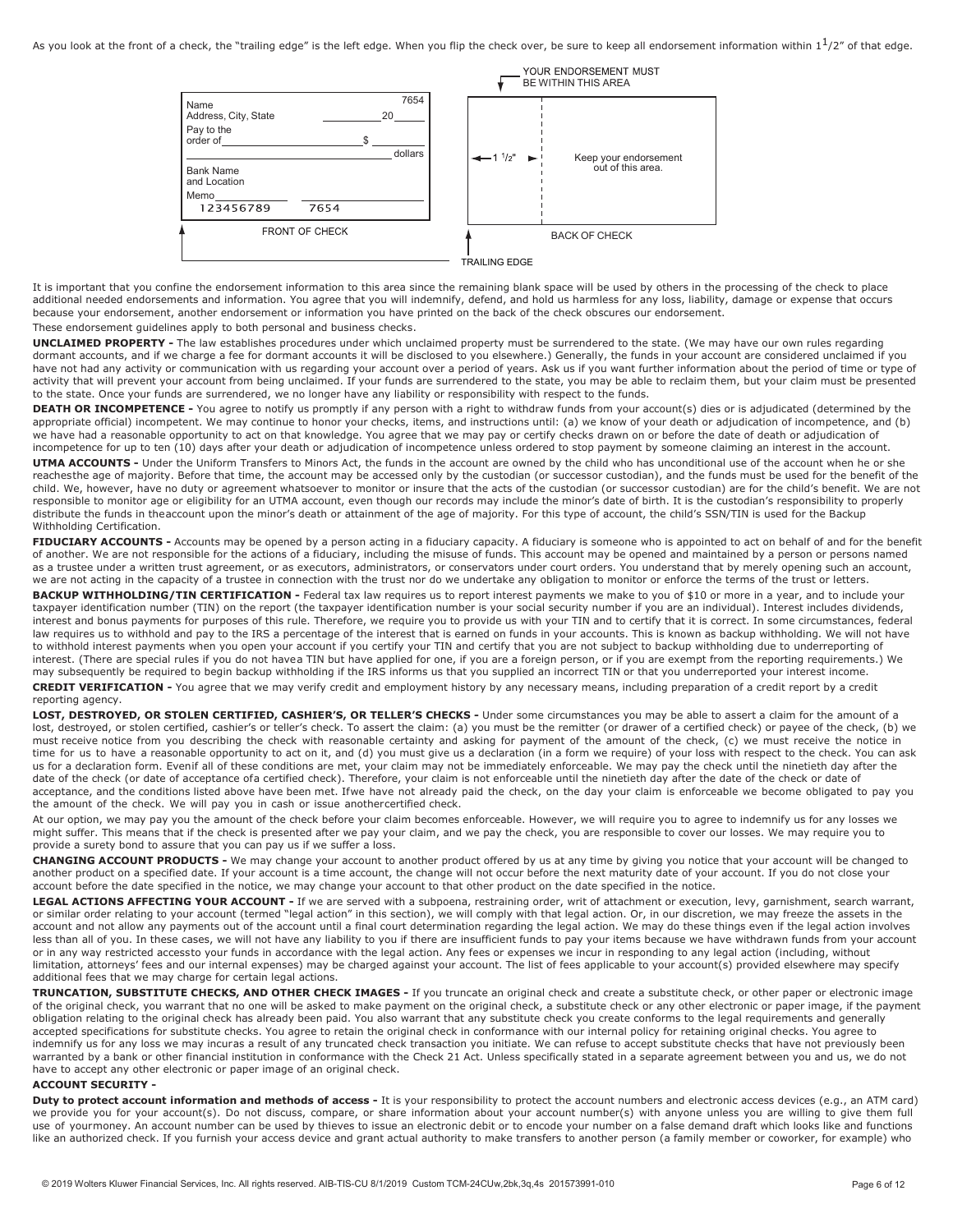

It is important that you confine the endorsement information to this area since the remaining blank space will be used by others in the processing of the check to place additional needed endorsements and information. You agree that you will indemnify, defend, and hold us harmless for any loss, liability, damage or expense that occurs because your endorsement, another endorsement or information you have printed on the back of the check obscures our endorsement.

#### These endorsement guidelines apply to both personal and business checks.

**UNCLAIMED PROPERTY -** The law establishes procedures under which unclaimed property must be surrendered to the state. (We may have our own rules regarding dormant accounts, and if we charge a fee for dormant accounts it will be disclosed to you elsewhere.) Generally, the funds in your account are considered unclaimed if you have not had any activity or communication with us regarding your account over a period of years. Ask us if you want further information about the period of time or type of activity that will prevent your account from being unclaimed. If your funds are surrendered to the state, you may be able to reclaim them, but your claim must be presented to the state. Once your funds are surrendered, we no longer have any liability or responsibility with respect to the funds.

DEATH OR INCOMPETENCE - You agree to notify us promptly if any person with a right to withdraw funds from your account(s) dies or is adjudicated (determined by the appropriate official) incompetent. We may continue to honor your checks, items, and instructions until: (a) we know of your death or adjudication of incompetence, and (b) we have had a reasonable opportunity to act on that knowledge. You agree that we may pay or certify checks drawn on or before the date of death or adjudication of incompetence for up to ten (10) days after your death or adjudication of incompetence unless ordered to stop payment by someone claiming an interest in the account.

UTMA ACCOUNTS - Under the Uniform Transfers to Minors Act, the funds in the account are owned by the child who has unconditional use of the account when he or she reachesthe age of majority. Before that time, the account may be accessed only by the custodian (or successor custodian), and the funds must be used for the benefit of the child. We, however, have no duty or agreement whatsoever to monitor or insure that the acts of the custodian (or successor custodian) are for the child's benefit. We are not responsible to monitor age or eligibility for an UTMA account, even though our records may include the minor's date of birth. It is the custodian's responsibility to properly distribute the funds in theaccount upon the minor's death or attainment of the age of majority. For this type of account, the child's SSN/TIN is used for the Backup Withholding Certification.

FIDUCIARY ACCOUNTS - Accounts may be opened by a person acting in a fiduciary capacity. A fiduciary is someone who is appointed to act on behalf of and for the benefit of another. We are not responsible for the actions of a fiduciary, including the misuse of funds. This account may be opened and maintained by a person or persons named as a trustee under a written trust agreement, or as executors, administrators, or conservators under court orders. You understand that by merely opening such an account, we are not acting in the capacity of a trustee in connection with the trust nor do we undertake any obligation to monitor or enforce the terms of the trust or letters.

BACKUP WITHHOLDING/TIN CERTIFICATION - Federal tax law requires us to report interest payments we make to you of \$10 or more in a year, and to include your taxpayer identification number (TIN) on the report (the taxpayer identification number is your social security number if you are an individual). Interest includes dividends, interest and bonus payments for purposes of this rule. Therefore, we require you to provide us with your TIN and to certify that it is correct. In some circumstances, federal law requires us to withhold and pay to the IRS a percentage of the interest that is earned on funds in your accounts. This is known as backup withholding. We will not have to withhold interest payments when you open your account if you certify your TIN and certify that you are not subject to backup withholding due to underreporting of interest. (There are special rules if you do not havea TIN but have applied for one, if you are a foreign person, or if you are exempt from the reporting requirements.) We may subsequently be required to begin backup withholding if the IRS informs us that you supplied an incorrect TIN or that you underreported your interest income.

**CREDIT VERIFICATION -** You agree that we may verify credit and employment history by any necessary means, including preparation of a credit report by a credit reporting agency.

LOST, DESTROYED, OR STOLEN CERTIFIED, CASHIER'S, OR TELLER'S CHECKS - Under some circumstances you may be able to assert a claim for the amount of a lost, destroyed, or stolen certified, cashier's or teller's check. To assert the claim: (a) you must be the remitter (or drawer of a certified check) or payee of the check, (b) we must receive notice from you describing the check with reasonable certainty and asking for payment of the amount of the check, (c) we must receive the notice in time for us to have a reasonable opportunity to act on it, and (d) you must give us a declaration (in a form we require) of your loss with respect to the check. You can ask us for a declaration form. Evenif all of these conditions are met, your claim may not be immediately enforceable. We may pay the check until the ninetieth day after the date of the check (or date of acceptance ofa certified check). Therefore, your claim is not enforceable until the ninetieth day after the date of the check or date of acceptance, and the conditions listed above have been met. Ifwe have not already paid the check, on the day your claim is enforceable we become obligated to pay you the amount of the check. We will pay you in cash or issue anothercertified check.

At our option, we may pay you the amount of the check before your claim becomes enforceable. However, we will require you to agree to indemnify us for any losses we might suffer. This means that if the check is presented after we pay your claim, and we pay the check, you are responsible to cover our losses. We may require you to provide a surety bond to assure that you can pay us if we suffer a loss.

**CHANGING ACCOUNT PRODUCTS -** We may change your account to another product offered by us at any time by giving you notice that your account will be changed to another product on a specified date. If your account is a time account, the change will not occur before the next maturity date of your account. If you do not close your account before the date specified in the notice, we may change your account to that other product on the date specified in the notice.

LEGAL ACTIONS AFFECTING YOUR ACCOUNT - If we are served with a subpoena, restraining order, writ of attachment or execution, levy, garnishment, search warrant, or similar order relating to your account (termed "legal action" in this section), we will comply with that legal action. Or, in our discretion, we may freeze the assets in the account and not allow any payments out of the account until a final court determination regarding the legal action. We may do these things even if the legal action involves less than all of you. In these cases, we will not have any liability to you if there are insufficient funds to pay your items because we have withdrawn funds from your account or in any way restricted accessto your funds in accordance with the legal action. Any fees or expenses we incur in responding to any legal action (including, without limitation, attorneys' fees and our internal expenses) may be charged against your account. The list of fees applicable to your account(s) provided elsewhere may specify additional fees that we may charge for certain legal actions.

**TRUNCATION, SUBSTITUTE CHECKS, AND OTHER CHECK IMAGES -** If you truncate an original check and create a substitute check, or other paper or electronic image of the original check, you warrant that no one will be asked to make payment on the original check, a substitute check or any other electronic or paper image, if the payment obligation relating to the original check has already been paid. You also warrant that any substitute check you create conforms to the legal requirements and generally accepted specifications for substitute checks. You agree to retain the original check in conformance with our internal policy for retaining original checks. You agree to indemnify us for any loss we may incuras a result of any truncated check transaction you initiate. We can refuse to accept substitute checks that have not previously been warranted by a bank or other financial institution in conformance with the Check 21 Act. Unless specifically stated in a separate agreement between you and us, we do not have to accept any other electronic or paper image of an original check.

#### <span id="page-5-0"></span>**ACCOUNT SECURITY -**

**Duty to protect account information and methods of access -** It is your responsibility to protect the account numbers and electronic access devices (e.g., an ATM card) we provide you for your account(s). Do not discuss, compare, or share information about your account number(s) with anyone unless you are willing to give them full use of yourmoney. An account number can be used by thieves to issue an electronic debit or to encode your number on a false demand draft which looks like and functions like an authorized check. If you furnish your access device and grant actual authority to make transfers to another person (a family member or coworker, for example) who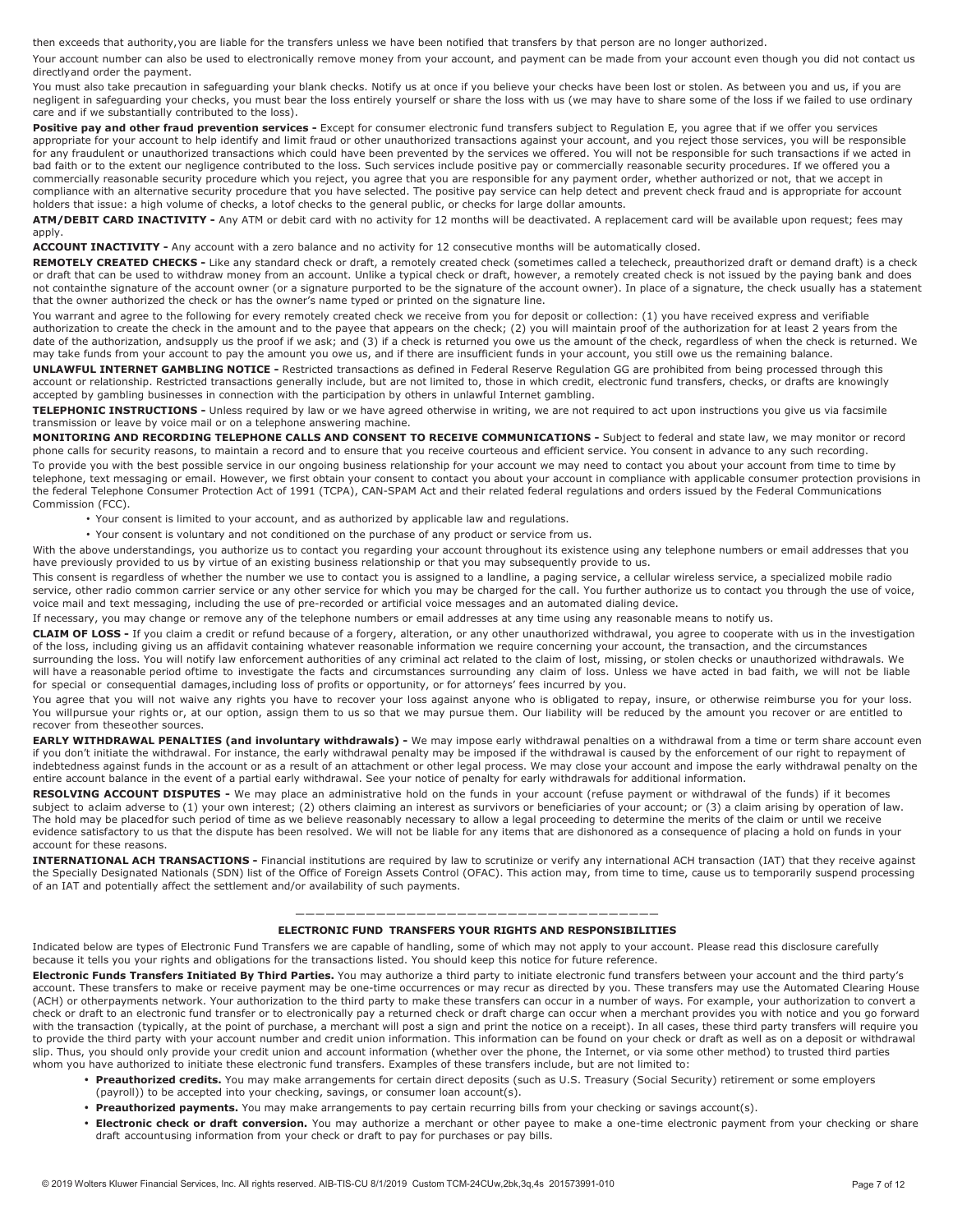then exceeds that authority,you are liable for the transfers unless we have been notified that transfers by that person are no longer authorized.

Your account number can also be used to electronically remove money from your account, and payment can be made from your account even though you did not contact us directlyand order the payment.

You must also take precaution in safeguarding your blank checks. Notify us at once if you believe your checks have been lost or stolen. As between you and us, if you are negligent in safeguarding your checks, you must bear the loss entirely yourself or share the loss with us (we may have to share some of the loss if we failed to use ordinary care and if we substantially contributed to the loss).

Positive pay and other fraud prevention services - Except for consumer electronic fund transfers subject to Regulation E, you agree that if we offer you services appropriate for your account to help identify and limit fraud or other unauthorized transactions against your account, and you reject those services, you will be responsible for any fraudulent or unauthorized transactions which could have been prevented by the services we offered. You will not be responsible for such transactions if we acted in bad faith or to the extent our negligence contributed to the loss. Such services include positive pay or commercially reasonable security procedures. If we offered you a commercially reasonable security procedure which you reject, you agree that you are responsible for any payment order, whether authorized or not, that we accept in compliance with an alternative security procedure that you have selected. The positive pay service can help detect and prevent check fraud and is appropriate for account holders that issue: a high volume of checks, a lotof checks to the general public, or checks for large dollar amounts.

**ATM/DEBIT CARD INACTIVITY -** Any ATM or debit card with no activity for 12 months will be deactivated. A replacement card will be available upon request; fees may apply.

**ACCOUNT INACTIVITY -** Any account with a zero balance and no activity for 12 consecutive months will be automatically closed.

**REMOTELY CREATED CHECKS -** Like any standard check or draft, a remotely created check (sometimes called a telecheck, preauthorized draft or demand draft) is a check or draft that can be used to withdraw money from an account. Unlike a typical check or draft, however, a remotely created check is not issued by the paying bank and does not containthe signature of the account owner (or a signature purported to be the signature of the account owner). In place of a signature, the check usually has a statement that the owner authorized the check or has the owner's name typed or printed on the signature line.

You warrant and agree to the following for every remotely created check we receive from you for deposit or collection: (1) you have received express and verifiable authorization to create the check in the amount and to the payee that appears on the check; (2) you will maintain proof of the authorization for at least 2 years from the date of the authorization, andsupply us the proof if we ask; and (3) if a check is returned you owe us the amount of the check, regardless of when the check is returned. We may take funds from your account to pay the amount you owe us, and if there are insufficient funds in your account, you still owe us the remaining balance.

**UNLAWFUL INTERNET GAMBLING NOTICE -** Restricted transactions as defined in Federal Reserve Regulation GG are prohibited from being processed through this account or relationship. Restricted transactions generally include, but are not limited to, those in which credit, electronic fund transfers, checks, or drafts are knowingly accepted by gambling businesses in connection with the participation by others in unlawful Internet gambling.

**TELEPHONIC INSTRUCTIONS -** Unless required by law or we have agreed otherwise in writing, we are not required to act upon instructions you give us via facsimile transmission or leave by voice mail or on a telephone answering machine.

**MONITORING AND RECORDING TELEPHONE CALLS AND CONSENT TO RECEIVE COMMUNICATIONS -** Subject to federal and state law, we may monitor or record phone calls for security reasons, to maintain a record and to ensure that you receive courteous and efficient service. You consent in advance to any such recording. To provide you with the best possible service in our ongoing business relationship for your account we may need to contact you about your account from time to time by telephone, text messaging or email. However, we first obtain your consent to contact you about your account in compliance with applicable consumer protection provisions in the federal Telephone Consumer Protection Act of 1991 (TCPA), CAN-SPAM Act and their related federal regulations and orders issued by the Federal Communications Commission (FCC).

- Your consent is limited to your account, and as authorized by applicable law and regulations.
- Your consent is voluntary and not conditioned on the purchase of any product or service from us.

With the above understandings, you authorize us to contact you regarding your account throughout its existence using any telephone numbers or email addresses that you have previously provided to us by virtue of an existing business relationship or that you may subsequently provide to us.

This consent is regardless of whether the number we use to contact you is assigned to a landline, a paging service, a cellular wireless service, a specialized mobile radio service, other radio common carrier service or any other service for which you may be charged for the call. You further authorize us to contact you through the use of voice, voice mail and text messaging, including the use of pre-recorded or artificial voice messages and an automated dialing device.

If necessary, you may change or remove any of the telephone numbers or email addresses at any time using any reasonable means to notify us.

**CLAIM OF LOSS -** If you claim a credit or refund because of a forgery, alteration, or any other unauthorized withdrawal, you agree to cooperate with us in the investigation of the loss, including giving us an affidavit containing whatever reasonable information we require concerning your account, the transaction, and the circumstances surrounding the loss. You will notify law enforcement authorities of any criminal act related to the claim of lost, missing, or stolen checks or unauthorized withdrawals. We will have a reasonable period oftime to investigate the facts and circumstances surrounding any claim of loss. Unless we have acted in bad faith, we will not be liable

for special or consequential damages,including loss of profits or opportunity, or for attorneys' fees incurred by you. You agree that you will not waive any rights you have to recover your loss against anyone who is obligated to repay, insure, or otherwise reimburse you for your loss. You willpursue your rights or, at our option, assign them to us so that we may pursue them. Our liability will be reduced by the amount you recover or are entitled to recover from theseother sources.

**EARLY WITHDRAWAL PENALTIES (and involuntary withdrawals)** - We may impose early withdrawal penalties on a withdrawal from a time or term share account even if you don't initiate the withdrawal. For instance, the early withdrawal penalty may be imposed if the withdrawal is caused by the enforcement of our right to repayment of indebtedness against funds in the account or as a result of an attachment or other legal process. We may close your account and impose the early withdrawal penalty on the entire account balance in the event of a partial early withdrawal. See your notice of penalty for early withdrawals for additional information.

**RESOLVING ACCOUNT DISPUTES -** We may place an administrative hold on the funds in your account (refuse payment or withdrawal of the funds) if it becomes subject to aclaim adverse to (1) your own interest; (2) others claiming an interest as survivors or beneficiaries of your account; or (3) a claim arising by operation of law. The hold may be placedfor such period of time as we believe reasonably necessary to allow a legal proceeding to determine the merits of the claim or until we receive evidence satisfactory to us that the dispute has been resolved. We will not be liable for any items that are dishonored as a consequence of placing a hold on funds in your account for these reasons.

**INTERNATIONAL ACH TRANSACTIONS -** Financial institutions are required by law to scrutinize or verify any international ACH transaction (IAT) that they receive against the Specially Designated Nationals (SDN) list of the Office of Foreign Assets Control (OFAC). This action may, from time to time, cause us to temporarily suspend processing of an IAT and potentially affect the settlement and/or availability of such payments.

#### ———————————————————————————————————— **ELECTRONIC FUND TRANSFERS YOUR RIGHTS AND RESPONSIBILITIES**

<span id="page-6-0"></span>Indicated below are types of Electronic Fund Transfers we are capable of handling, some of which may not apply to your account. Please read this disclosure carefully because it tells you your rights and obligations for the transactions listed. You should keep this notice for future reference.

**Electronic Funds Transfers Initiated By Third Parties.** You may authorize a third party to initiate electronic fund transfers between your account and the third party's account. These transfers to make or receive payment may be one-time occurrences or may recur as directed by you. These transfers may use the Automated Clearing House (ACH) or otherpayments network. Your authorization to the third party to make these transfers can occur in a number of ways. For example, your authorization to convert a check or draft to an electronic fund transfer or to electronically pay a returned check or draft charge can occur when a merchant provides you with notice and you go forward with the transaction (typically, at the point of purchase, a merchant will post a sign and print the notice on a receipt). In all cases, these third party transfers will require you to provide the third party with your account number and credit union information. This information can be found on your check or draft as well as on a deposit or withdrawal slip. Thus, you should only provide your credit union and account information (whether over the phone, the Internet, or via some other method) to trusted third parties whom you have authorized to initiate these electronic fund transfers. Examples of these transfers include, but are not limited to:

- **• Preauthorized credits.** You may make arrangements for certain direct deposits (such as U.S. Treasury (Social Security) retirement or some employers (payroll)) to be accepted into your checking, savings, or consumer loan account(s).
- **• Preauthorized payments.** You may make arrangements to pay certain recurring bills from your checking or savings account(s).
- **• Electronic check or draft conversion.** You may authorize a merchant or other payee to make a one-time electronic payment from your checking or share draft accountusing information from your check or draft to pay for purchases or pay bills.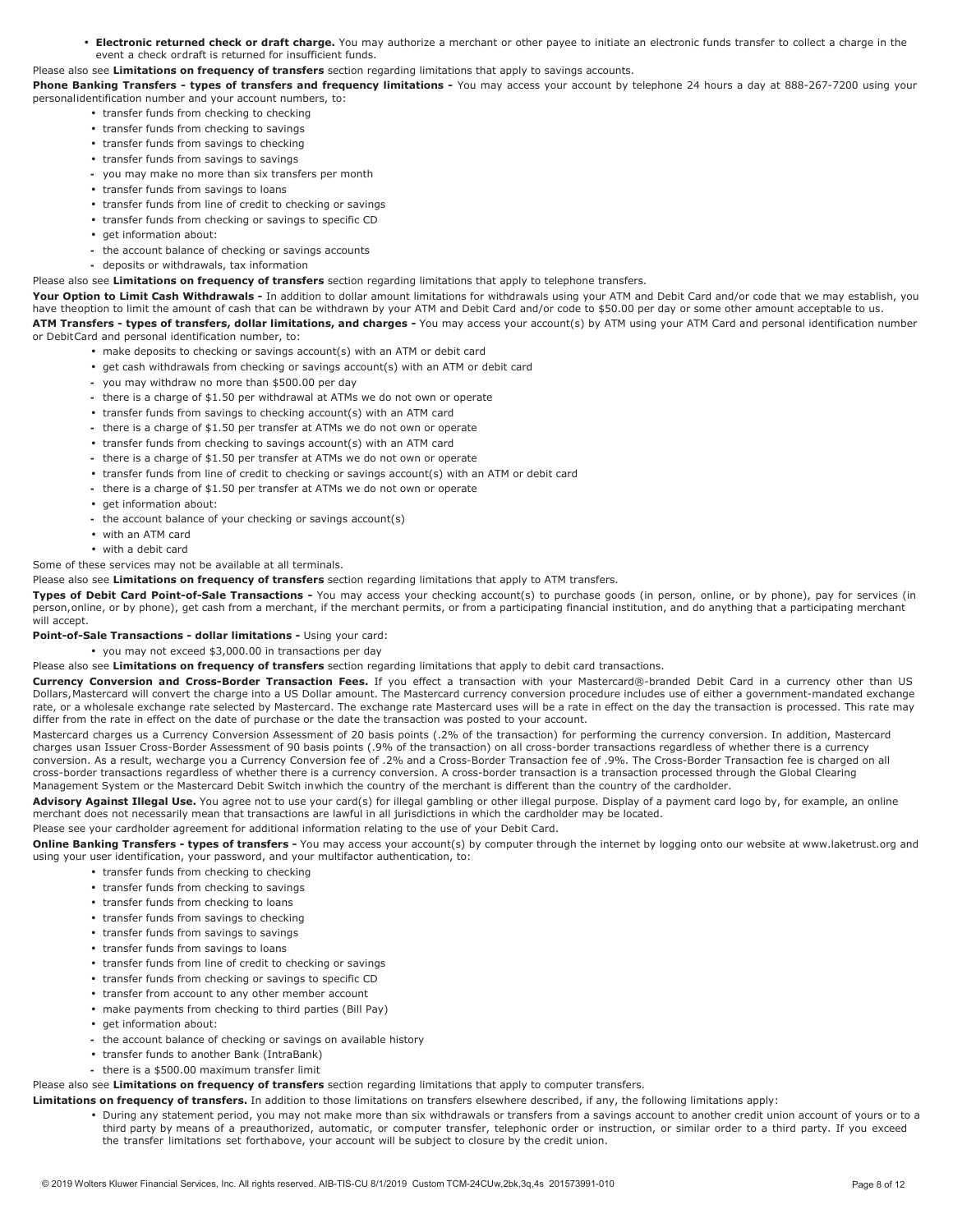**• Electronic returned check or draft charge.** You may authorize a merchant or other payee to initiate an electronic funds transfer to collect a charge in the event a check ordraft is returned for insufficient funds.

#### Please also see **Limitations on frequency of transfers** section regarding limitations that apply to savings accounts.

Phone Banking Transfers - types of transfers and frequency limitations - You may access your account by telephone 24 hours a day at 888-267-7200 using your personalidentification number and your account numbers, to:

- **•** transfer funds from checking to checking
- **•** transfer funds from checking to savings
- **•** transfer funds from savings to checking
- **•** transfer funds from savings to savings
- **-** you may make no more than six transfers per month
- **•** transfer funds from savings to loans
- **•** transfer funds from line of credit to checking or savings
- **•** transfer funds from checking or savings to specific CD
- **•** get information about:
- **-** the account balance of checking or savings accounts
- **-** deposits or withdrawals, tax information

#### Please also see **Limitations on frequency of transfers** section regarding limitations that apply to telephone transfers.

**Your Option to Limit Cash Withdrawals -** In addition to dollar amount limitations for withdrawals using your ATM and Debit Card and/or code that we may establish, you have theoption to limit the amount of cash that can be withdrawn by your ATM and Debit Card and/or code to \$50.00 per day or some other amount acceptable to us. ATM Transfers - types of transfers, dollar limitations, and charges - You may access your account(s) by ATM using your ATM Card and personal identification number or DebitCard and personal identification number, to:

- **•** make deposits to checking or savings account(s) with an ATM or debit card
- **•** get cash withdrawals from checking or savings account(s) with an ATM or debit card
- **-** you may withdraw no more than \$500.00 per day
- **-** there is a charge of \$1.50 per withdrawal at ATMs we do not own or operate
- **•** transfer funds from savings to checking account(s) with an ATM card
- **-** there is a charge of \$1.50 per transfer at ATMs we do not own or operate
- **•** transfer funds from checking to savings account(s) with an ATM card
- **-** there is a charge of \$1.50 per transfer at ATMs we do not own or operate
- **•** transfer funds from line of credit to checking or savings account(s) with an ATM or debit card
- **-** there is a charge of \$1.50 per transfer at ATMs we do not own or operate
- **•** get information about:
- **-** the account balance of your checking or savings account(s)
- **•** with an ATM card
- **•** with a debit card

Some of these services may not be available at all terminals.

Please also see **Limitations on frequency of transfers** section regarding limitations that apply to ATM transfers.

**Types of Debit Card Point-of-Sale Transactions -** You may access your checking account(s) to purchase goods (in person, online, or by phone), pay for services (in person,online, or by phone), get cash from a merchant, if the merchant permits, or from a participating financial institution, and do anything that a participating merchant will accept.

#### **Point-of-Sale Transactions - dollar limitations -** Using your card:

**•** you may not exceed \$3,000.00 in transactions per day

#### Please also see **Limitations on frequency of transfers** section regarding limitations that apply to debit card transactions.

**Currency Conversion and Cross-Border Transaction Fees.** If you effect a transaction with your Mastercard®-branded Debit Card in a currency other than US Dollars,Mastercard will convert the charge into a US Dollar amount. The Mastercard currency conversion procedure includes use of either a government-mandated exchange rate, or a wholesale exchange rate selected by Mastercard. The exchange rate Mastercard uses will be a rate in effect on the day the transaction is processed. This rate may differ from the rate in effect on the date of purchase or the date the transaction was posted to your account.

Mastercard charges us a Currency Conversion Assessment of 20 basis points (.2% of the transaction) for performing the currency conversion. In addition, Mastercard charges usan Issuer Cross-Border Assessment of 90 basis points (.9% of the transaction) on all cross-border transactions regardless of whether there is a currency conversion. As a result, wecharge you a Currency Conversion fee of .2% and a Cross-Border Transaction fee of .9%. The Cross-Border Transaction fee is charged on all cross-border transactions regardless of whether there is a currency conversion. A cross-border transaction is a transaction processed through the Global Clearing Management System or the Mastercard Debit Switch inwhich the country of the merchant is different than the country of the cardholder.

Advisory Against Illegal Use. You agree not to use your card(s) for illegal gambling or other illegal purpose. Display of a payment card logo by, for example, an online merchant does not necessarily mean that transactions are lawful in all jurisdictions in which the cardholder may be located.

Please see your cardholder agreement for additional information relating to the use of your Debit Card.

**Online Banking Transfers - types of transfers -** You may access your account(s) by computer through the internet by logging onto our website a[t www.laketrust.org a](http://www.laketrust.org/)nd using your user identification, your password, and your multifactor authentication, to:

- **•** transfer funds from checking to checking
- **•** transfer funds from checking to savings
- **•** transfer funds from checking to loans
- **•** transfer funds from savings to checking
- **•** transfer funds from savings to savings
- **•** transfer funds from savings to loans
- **•** transfer funds from line of credit to checking or savings
- **•** transfer funds from checking or savings to specific CD
- **•** transfer from account to any other member account
- **•** make payments from checking to third parties (Bill Pay)
- get information about:
- **-** the account balance of checking or savings on available history
- **•** transfer funds to another Bank (IntraBank)
- **-** there is a \$500.00 maximum transfer limit

Please also see **Limitations on frequency of transfers** section regarding limitations that apply to computer transfers.

- **Limitations on frequency of transfers.** In addition to those limitations on transfers elsewhere described, if any, the following limitations apply:
	- **•** During any statement period, you may not make more than six withdrawals or transfers from a savings account to another credit union account of yours or to a third party by means of a preauthorized, automatic, or computer transfer, telephonic order or instruction, or similar order to a third party. If you exceed the transfer limitations set forthabove, your account will be subject to closure by the credit union.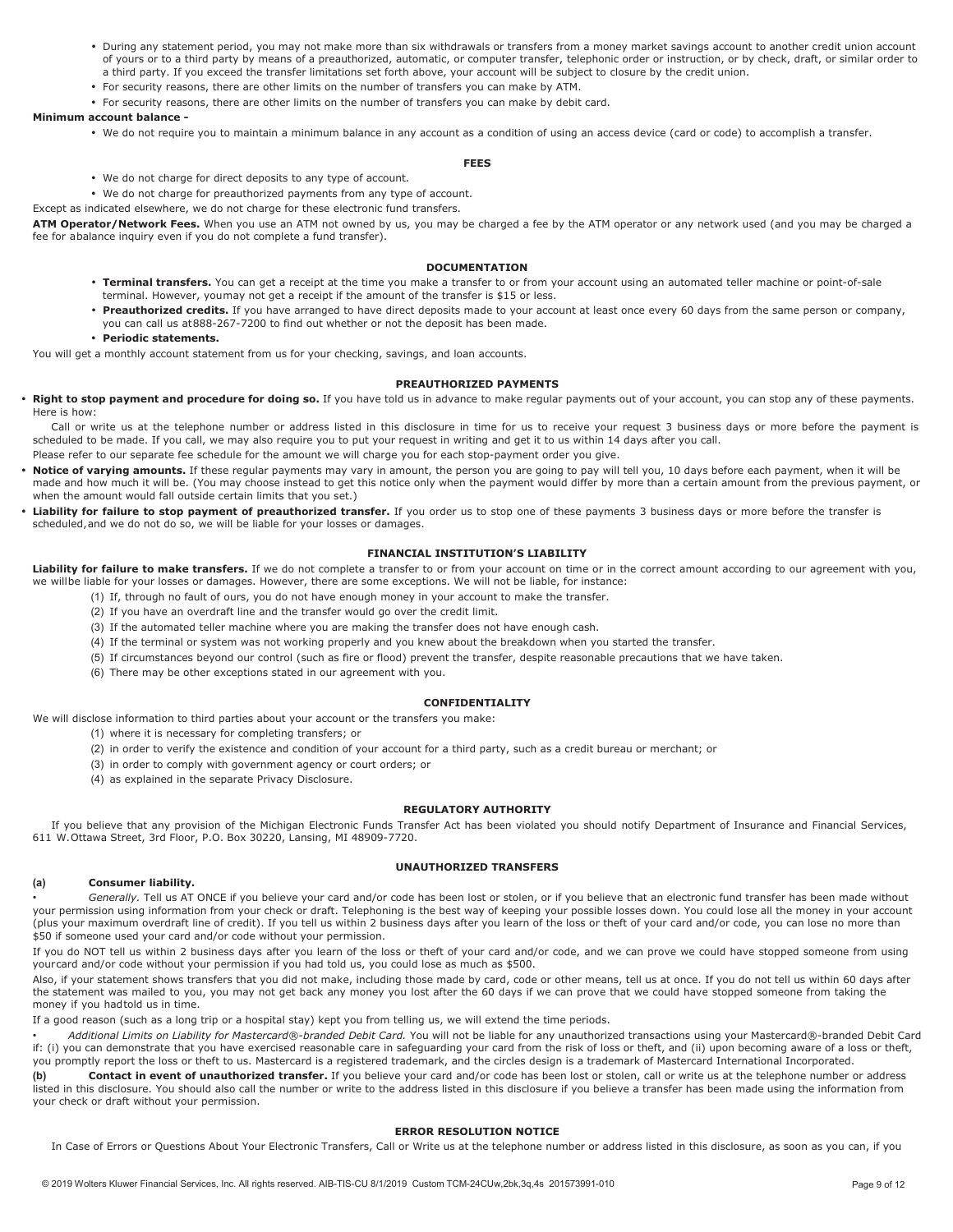- **•** During any statement period, you may not make more than six withdrawals or transfers from a money market savings account to another credit union account of yours or to a third party by means of a preauthorized, automatic, or computer transfer, telephonic order or instruction, or by check, draft, or similar order to a third party. If you exceed the transfer limitations set forth above, your account will be subject to closure by the credit union.
- **•** For security reasons, there are other limits on the number of transfers you can make by ATM.
- **•** For security reasons, there are other limits on the number of transfers you can make by debit card.

#### **Minimum account balance -**

**•** We do not require you to maintain a minimum balance in any account as a condition of using an access device (card or code) to accomplish a transfer.

#### **FEES**

**•** We do not charge for direct deposits to any type of account.

**•** We do not charge for preauthorized payments from any type of account.

Except as indicated elsewhere, we do not charge for these electronic fund transfers.

**ATM Operator/Network Fees.** When you use an ATM not owned by us, you may be charged a fee by the ATM operator or any network used (and you may be charged a fee for abalance inquiry even if you do not complete a fund transfer).

#### **DOCUMENTATION**

- **• Terminal transfers.** You can get a receipt at the time you make a transfer to or from your account using an automated teller machine or point-of-sale terminal. However, youmay not get a receipt if the amount of the transfer is \$15 or less.
- **• Preauthorized credits.** If you have arranged to have direct deposits made to your account at least once every 60 days from the same person or company, you can call us at888-267-7200 to find out whether or not the deposit has been made.
- **• Periodic statements.**
- You will get a monthly account statement from us for your checking, savings, and loan accounts.

#### **PREAUTHORIZED PAYMENTS**

• Right to stop payment and procedure for doing so. If you have told us in advance to make regular payments out of your account, you can stop any of these payments. Here is how:

Call or write us at the telephone number or address listed in this disclosure in time for us to receive your request 3 business days or more before the payment is scheduled to be made. If you call, we may also require you to put your request in writing and get it to us within 14 days after you call. Please refer to our separate fee schedule for the amount we will charge you for each stop-payment order you give.

- **• Notice of varying amounts.** If these regular payments may vary in amount, the person you are going to pay will tell you, 10 days before each payment, when it will be made and how much it will be. (You may choose instead to get this notice only when the payment would differ by more than a certain amount from the previous payment, or when the amount would fall outside certain limits that you set.)
- Liability for failure to stop payment of preauthorized transfer. If you order us to stop one of these payments 3 business days or more before the transfer is scheduled,and we do not do so, we will be liable for your losses or damages.

#### **FINANCIAL INSTITUTION'S LIABILITY**

**Liability for failure to make transfers.** If we do not complete a transfer to or from your account on time or in the correct amount according to our agreement with you, we willbe liable for your losses or damages. However, there are some exceptions. We will not be liable, for instance:

- (1) If, through no fault of ours, you do not have enough money in your account to make the transfer.
- (2) If you have an overdraft line and the transfer would go over the credit limit.
- (3) If the automated teller machine where you are making the transfer does not have enough cash.
- (4) If the terminal or system was not working properly and you knew about the breakdown when you started the transfer.
- (5) If circumstances beyond our control (such as fire or flood) prevent the transfer, despite reasonable precautions that we have taken.
- (6) There may be other exceptions stated in our agreement with you.

#### **CONFIDENTIALITY**

We will disclose information to third parties about your account or the transfers you make:

- (1) where it is necessary for completing transfers; or
	- (2) in order to verify the existence and condition of your account for a third party, such as a credit bureau or merchant; or
	- (3) in order to comply with government agency or court orders; or
	- (4) as explained in the separate Privacy Disclosure.

#### **REGULATORY AUTHORITY**

If you believe that any provision of the Michigan Electronic Funds Transfer Act has been violated you should notify Department of Insurance and Financial Services, 611 W.Ottawa Street, 3rd Floor, P.O. Box 30220, Lansing, MI 48909-7720.

#### **UNAUTHORIZED TRANSFERS**

#### **(a) Consumer liability.**

*• Generally.* Tell us AT ONCE if you believe your card and/or code has been lost or stolen, or if you believe that an electronic fund transfer has been made without your permission using information from your check or draft. Telephoning is the best way of keeping your possible losses down. You could lose all the money in your account (plus your maximum overdraft line of credit). If you tell us within 2 business days after you learn of the loss or theft of your card and/or code, you can lose no more than \$50 if someone used your card and/or code without your permission.

If you do NOT tell us within 2 business days after you learn of the loss or theft of your card and/or code, and we can prove we could have stopped someone from using yourcard and/or code without your permission if you had told us, you could lose as much as \$500.

Also, if your statement shows transfers that you did not make, including those made by card, code or other means, tell us at once. If you do not tell us within 60 days after the statement was mailed to you, you may not get back any money you lost after the 60 days if we can prove that we could have stopped someone from taking the money if you hadtold us in time.

If a good reason (such as a long trip or a hospital stay) kept you from telling us, we will extend the time periods.

*• Additional Limits on Liability for Mastercard®-branded Debit Card.* You will not be liable for any unauthorized transactions using your Mastercard®-branded Debit Card if: (i) you can demonstrate that you have exercised reasonable care in safeguarding your card from the risk of loss or theft, and (ii) upon becoming aware of a loss or theft, you promptly report the loss or theft to us. Mastercard is a registered trademark, and the circles design is a trademark of Mastercard International Incorporated.

**(b) Contact in event of unauthorized transfer.** If you believe your card and/or code has been lost or stolen, call or write us at the telephone number or address listed in this disclosure. You should also call the number or write to the address listed in this disclosure if you believe a transfer has been made using the information from your check or draft without your permission.

#### **ERROR RESOLUTION NOTICE**

In Case of Errors or Questions About Your Electronic Transfers, Call or Write us at the telephone number or address listed in this disclosure, as soon as you can, if you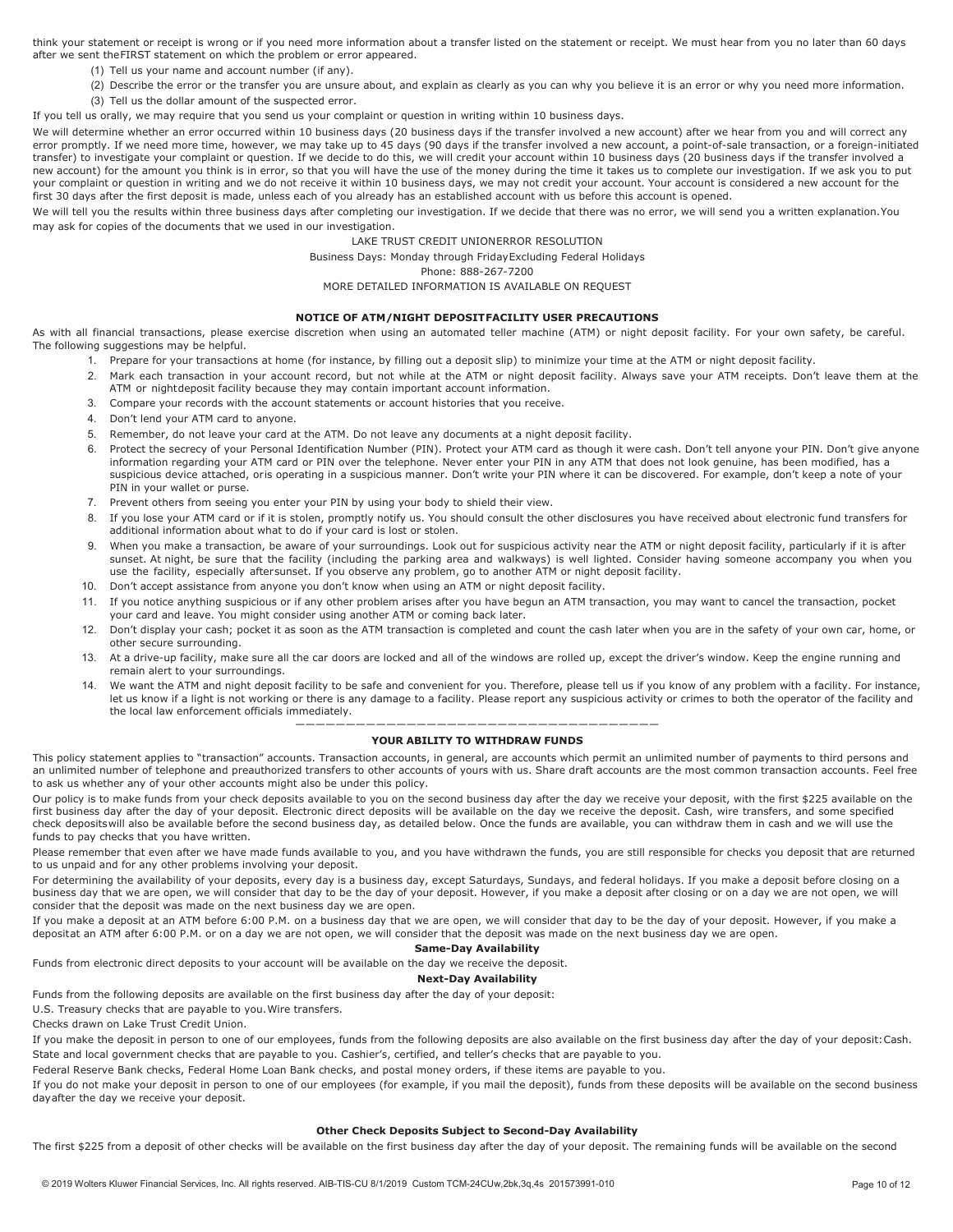think your statement or receipt is wrong or if you need more information about a transfer listed on the statement or receipt. We must hear from you no later than 60 days after we sent the FIRST statement on which the problem or error appeared.

- (1) Tell us your name and account number (if any).
- (2) Describe the error or the transfer you are unsure about, and explain as clearly as you can why you believe it is an error or why you need more information.
- (3) Tell us the dollar amount of the suspected error.

If you tell us orally, we may require that you send us your complaint or question in writing within 10 business days.

We will determine whether an error occurred within 10 business days (20 business days if the transfer involved a new account) after we hear from you and will correct any error promptly. If we need more time, however, we may take up to 45 days (90 days if the transfer involved a new account, a point-of-sale transaction, or a foreign-initiated transfer) to investigate your complaint or question. If we decide to do this, we will credit your account within 10 business days (20 business days if the transfer involved a new account) for the amount you think is in error, so that you will have the use of the money during the time it takes us to complete our investigation. If we ask you to put your complaint or question in writing and we do not receive it within 10 business days, we may not credit your account. Your account is considered a new account for the first 30 days after the first deposit is made, unless each of you already has an established account with us before this account is opened.

We will tell you the results within three business days after completing our investigation. If we decide that there was no error, we will send you a written explanation. You may ask for copies of the documents that we used in our investigation.

#### LAKE TRUST CREDIT UNIONERROR RESOLUTION

Business Days: Monday through FridayExcluding Federal Holidays

Phone: 888-267-7200

MORE DETAILED INFORMATION IS AVAILABLE ON REQUEST

#### **NOTICE OF ATM/NIGHT DEPOSITFACILITY USER PRECAUTIONS**

As with all financial transactions, please exercise discretion when using an automated teller machine (ATM) or night deposit facility. For your own safety, be careful. The following suggestions may be helpful.

- 1. Prepare for your transactions at home (for instance, by filling out a deposit slip) to minimize your time at the ATM or night deposit facility.
- 2. Mark each transaction in your account record, but not while at the ATM or night deposit facility. Always save your ATM receipts. Don't leave them at the ATM or nightdeposit facility because they may contain important account information.
- 3. Compare your records with the account statements or account histories that you receive.
- 4. Don't lend your ATM card to anyone.
- 5. Remember, do not leave your card at the ATM. Do not leave any documents at a night deposit facility.
- 6. Protect the secrecy of your Personal Identification Number (PIN). Protect your ATM card as though it were cash. Don't tell anyone your PIN. Don't give anyone information regarding your ATM card or PIN over the telephone. Never enter your PIN in any ATM that does not look genuine, has been modified, has a suspicious device attached, oris operating in a suspicious manner. Don't write your PIN where it can be discovered. For example, don't keep a note of your PIN in your wallet or purse.
- 7. Prevent others from seeing you enter your PIN by using your body to shield their view.
- 8. If you lose your ATM card or if it is stolen, promptly notify us. You should consult the other disclosures you have received about electronic fund transfers for additional information about what to do if your card is lost or stolen.
- 9. When you make a transaction, be aware of your surroundings. Look out for suspicious activity near the ATM or night deposit facility, particularly if it is after sunset. At night, be sure that the facility (including the parking area and walkways) is well lighted. Consider having someone accompany you when you use the facility, especially aftersunset. If you observe any problem, go to another ATM or night deposit facility.
- 10. Don't accept assistance from anyone you don't know when using an ATM or night deposit facility.
- 11. If you notice anything suspicious or if any other problem arises after you have begun an ATM transaction, you may want to cancel the transaction, pocket your card and leave. You might consider using another ATM or coming back later.
- 12. Don't display your cash; pocket it as soon as the ATM transaction is completed and count the cash later when you are in the safety of your own car, home, or other secure surrounding.
- 13. At a drive-up facility, make sure all the car doors are locked and all of the windows are rolled up, except the driver's window. Keep the engine running and remain alert to your surroundings.
- 14. We want the ATM and night deposit facility to be safe and convenient for you. Therefore, please tell us if you know of any problem with a facility. For instance, let us know if a light is not working or there is any damage to a facility. Please report any suspicious activity or crimes to both the operator of the facility and the local law enforcement officials immediately.

#### ———————————————————————————————————— **YOUR ABILITY TO WITHDRAW FUNDS**

<span id="page-9-0"></span>This policy statement applies to "transaction" accounts. Transaction accounts, in general, are accounts which permit an unlimited number of payments to third persons and an unlimited number of telephone and preauthorized transfers to other accounts of yours with us. Share draft accounts are the most common transaction accounts. Feel free to ask us whether any of your other accounts might also be under this policy.

Our policy is to make funds from your check deposits available to you on the second business day after the day we receive your deposit, with the first \$225 available on the first business day after the day of your deposit. Electronic direct deposits will be available on the day we receive the deposit. Cash, wire transfers, and some specified check depositswill also be available before the second business day, as detailed below. Once the funds are available, you can withdraw them in cash and we will use the funds to pay checks that you have written.

Please remember that even after we have made funds available to you, and you have withdrawn the funds, you are still responsible for checks you deposit that are returned to us unpaid and for any other problems involving your deposit.

For determining the availability of your deposits, every day is a business day, except Saturdays, Sundays, and federal holidays. If you make a deposit before closing on a business day that we are open, we will consider that day to be the day of your deposit. However, if you make a deposit after closing or on a day we are not open, we will consider that the deposit was made on the next business day we are open.

If you make a deposit at an ATM before 6:00 P.M. on a business day that we are open, we will consider that day to be the day of your deposit. However, if you make a depositat an ATM after 6:00 P.M. or on a day we are not open, we will consider that the deposit was made on the next business day we are open.

#### **Same-Day Availability**

Funds from electronic direct deposits to your account will be available on the day we receive the deposit.

#### **Next-Day Availability**

Funds from the following deposits are available on the first business day after the day of your deposit:

U.S. Treasury checks that are payable to you.Wire transfers.

Checks drawn on Lake Trust Credit Union.

If you make the deposit in person to one of our employees, funds from the following deposits are also available on the first business day after the day of your deposit:Cash. State and local government checks that are payable to you. Cashier's, certified, and teller's checks that are payable to you.

Federal Reserve Bank checks, Federal Home Loan Bank checks, and postal money orders, if these items are payable to you.

If you do not make your deposit in person to one of our employees (for example, if you mail the deposit), funds from these deposits will be available on the second business dayafter the day we receive your deposit.

#### **Other Check Deposits Subject to Second-Day Availability**

The first \$225 from a deposit of other checks will be available on the first business day after the day of your deposit. The remaining funds will be available on the second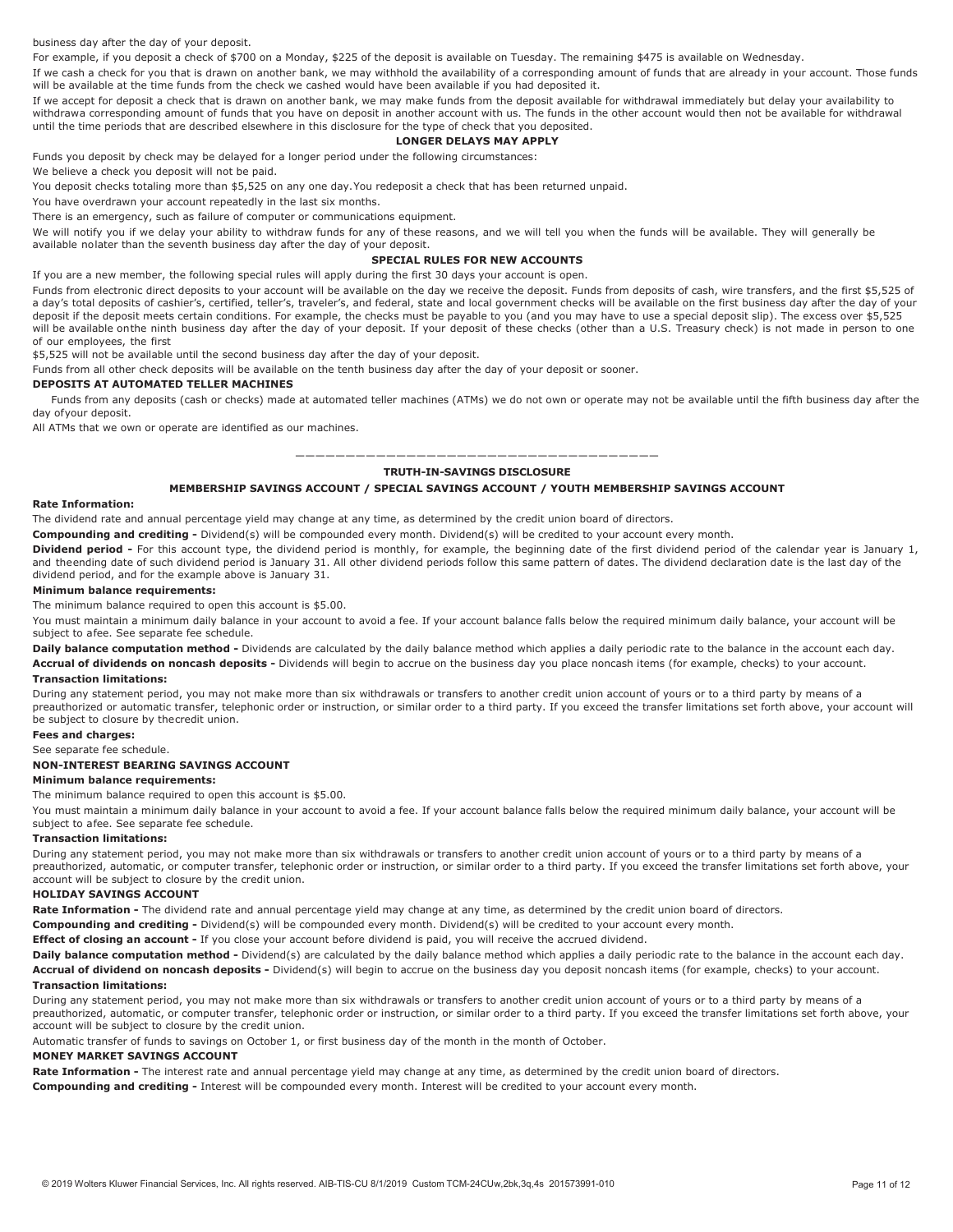business day after the day of your deposit.

For example, if you deposit a check of \$700 on a Monday, \$225 of the deposit is available on Tuesday. The remaining \$475 is available on Wednesday.

If we cash a check for you that is drawn on another bank, we may withhold the availability of a corresponding amount of funds that are already in your account. Those funds will be available at the time funds from the check we cashed would have been available if you had deposited it.

If we accept for deposit a check that is drawn on another bank, we may make funds from the deposit available for withdrawal immediately but delay your availability to withdrawa corresponding amount of funds that you have on deposit in another account with us. The funds in the other account would then not be available for withdrawal until the time periods that are described elsewhere in this disclosure for the type of check that you deposited.

#### **LONGER DELAYS MAY APPLY**

Funds you deposit by check may be delayed for a longer period under the following circumstances:

We believe a check you deposit will not be paid.

You deposit checks totaling more than \$5,525 on any one day.You redeposit a check that has been returned unpaid.

You have overdrawn your account repeatedly in the last six months.

There is an emergency, such as failure of computer or communications equipment.

We will notify you if we delay your ability to withdraw funds for any of these reasons, and we will tell you when the funds will be available. They will generally be available nolater than the seventh business day after the day of your deposit.

#### **SPECIAL RULES FOR NEW ACCOUNTS**

If you are a new member, the following special rules will apply during the first 30 days your account is open.

Funds from electronic direct deposits to your account will be available on the day we receive the deposit. Funds from deposits of cash, wire transfers, and the first \$5,525 of a day's total deposits of cashier's, certified, teller's, traveler's, and federal, state and local government checks will be available on the first business day after the day of your deposit if the deposit meets certain conditions. For example, the checks must be payable to you (and you may have to use a special deposit slip). The excess over \$5,525 will be available onthe ninth business day after the day of your deposit. If your deposit of these checks (other than a U.S. Treasury check) is not made in person to one of our employees, the first

\$5,525 will not be available until the second business day after the day of your deposit.

Funds from all other check deposits will be available on the tenth business day after the day of your deposit or sooner.

#### **DEPOSITS AT AUTOMATED TELLER MACHINES**

Funds from any deposits (cash or checks) made at automated teller machines (ATMs) we do not own or operate may not be available until the fifth business day after the day ofyour deposit.

All ATMs that we own or operate are identified as our machines.

#### ———————————————————————————————————— **TRUTH-IN-SAVINGS DISCLOSURE**

#### **MEMBERSHIP SAVINGS ACCOUNT / SPECIAL SAVINGS ACCOUNT / YOUTH MEMBERSHIP SAVINGS ACCOUNT**

#### <span id="page-10-1"></span><span id="page-10-0"></span>**Rate Information:**

The dividend rate and annual percentage yield may change at any time, as determined by the credit union board of directors.

**Compounding and crediting -** Dividend(s) will be compounded every month. Dividend(s) will be credited to your account every month.

**Dividend period -** For this account type, the dividend period is monthly, for example, the beginning date of the first dividend period of the calendar year is January 1, and theending date of such dividend period is January 31. All other dividend periods follow this same pattern of dates. The dividend declaration date is the last day of the dividend period, and for the example above is January 31.

#### **Minimum balance requirements:**

The minimum balance required to open this account is \$5.00.

You must maintain a minimum daily balance in your account to avoid a fee. If your account balance falls below the required minimum daily balance, your account will be subject to afee. See separate fee schedule.

Daily balance computation method - Dividends are calculated by the daily balance method which applies a daily periodic rate to the balance in the account each day. **Accrual of dividends on noncash deposits -** Dividends will begin to accrue on the business day you place noncash items (for example, checks) to your account.

#### **Transaction limitations:**

During any statement period, you may not make more than six withdrawals or transfers to another credit union account of yours or to a third party by means of a preauthorized or automatic transfer, telephonic order or instruction, or similar order to a third party. If you exceed the transfer limitations set forth above, your account will be subject to closure by thecredit union.

**Fees and charges:**

See separate fee schedule.

#### <span id="page-10-2"></span>**NON-INTEREST BEARING SAVINGS ACCOUNT**

#### **Minimum balance requirements:**

The minimum balance required to open this account is \$5.00.

You must maintain a minimum daily balance in your account to avoid a fee. If your account balance falls below the required minimum daily balance, your account will be subject to afee. See separate fee schedule.

#### **Transaction limitations:**

During any statement period, you may not make more than six withdrawals or transfers to another credit union account of yours or to a third party by means of a preauthorized, automatic, or computer transfer, telephonic order or instruction, or similar order to a third party. If you exceed the transfer limitations set forth above, your account will be subject to closure by the credit union.

#### <span id="page-10-3"></span>**HOLIDAY SAVINGS ACCOUNT**

**Rate Information -** The dividend rate and annual percentage yield may change at any time, as determined by the credit union board of directors.

**Compounding and crediting -** Dividend(s) will be compounded every month. Dividend(s) will be credited to your account every month.

**Effect of closing an account -** If you close your account before dividend is paid, you will receive the accrued dividend.

**Daily balance computation method -** Dividend(s) are calculated by the daily balance method which applies a daily periodic rate to the balance in the account each day. **Accrual of dividend on noncash deposits -** Dividend(s) will begin to accrue on the business day you deposit noncash items (for example, checks) to your account.

#### **Transaction limitations:**

During any statement period, you may not make more than six withdrawals or transfers to another credit union account of yours or to a third party by means of a preauthorized, automatic, or computer transfer, telephonic order or instruction, or similar order to a third party. If you exceed the transfer limitations set forth above, your account will be subject to closure by the credit union.

Automatic transfer of funds to savings on October 1, or first business day of the month in the month of October.

#### <span id="page-10-4"></span>**MONEY MARKET SAVINGS ACCOUNT**

**Rate Information -** The interest rate and annual percentage yield may change at any time, as determined by the credit union board of directors.

**Compounding and crediting -** Interest will be compounded every month. Interest will be credited to your account every month.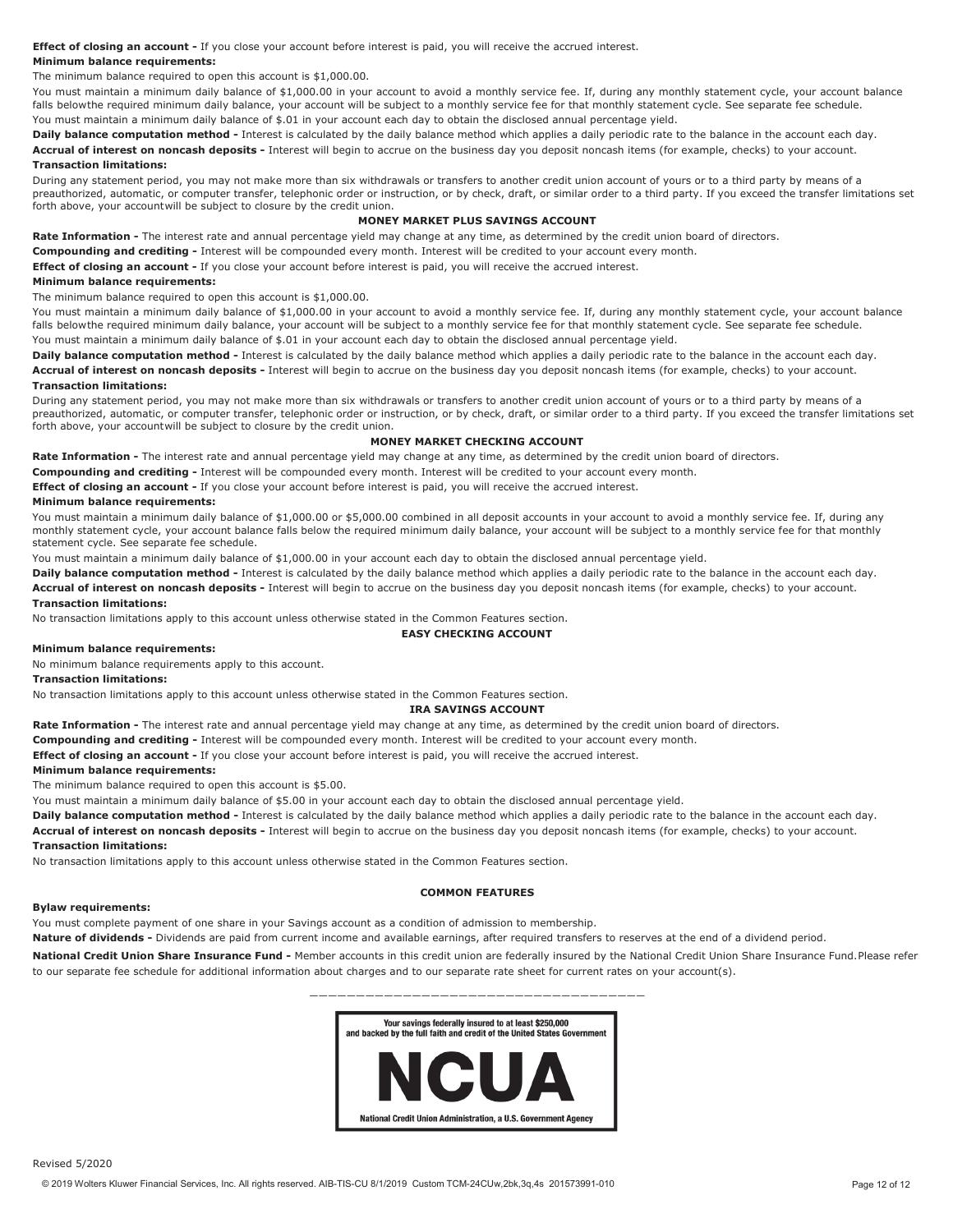**Effect of closing an account -** If you close your account before interest is paid, you will receive the accrued interest.

#### **Minimum balance requirements:**

The minimum balance required to open this account is \$1,000.00.

You must maintain a minimum daily balance of \$1,000.00 in your account to avoid a monthly service fee. If, during any monthly statement cycle, your account balance falls belowthe required minimum daily balance, your account will be subject to a monthly service fee for that monthly statement cycle. See separate fee schedule. You must maintain a minimum daily balance of \$.01 in your account each day to obtain the disclosed annual percentage yield.

**Daily balance computation method -** Interest is calculated by the daily balance method which applies a daily periodic rate to the balance in the account each day.

**Accrual of interest on noncash deposits -** Interest will begin to accrue on the business day you deposit noncash items (for example, checks) to your account. **Transaction limitations:**

During any statement period, you may not make more than six withdrawals or transfers to another credit union account of yours or to a third party by means of a preauthorized, automatic, or computer transfer, telephonic order or instruction, or by check, draft, or similar order to a third party. If you exceed the transfer limitations set forth above, your accountwill be subject to closure by the credit union.

#### **MONEY MARKET PLUS SAVINGS ACCOUNT**

<span id="page-11-0"></span>**Rate Information -** The interest rate and annual percentage yield may change at any time, as determined by the credit union board of directors.

**Compounding and crediting -** Interest will be compounded every month. Interest will be credited to your account every month.

**Effect of closing an account -** If you close your account before interest is paid, you will receive the accrued interest.

#### **Minimum balance requirements:**

The minimum balance required to open this account is \$1,000.00.

You must maintain a minimum daily balance of \$1,000.00 in your account to avoid a monthly service fee. If, during any monthly statement cycle, your account balance falls belowthe required minimum daily balance, your account will be subject to a monthly service fee for that monthly statement cycle. See separate fee schedule. You must maintain a minimum daily balance of \$.01 in your account each day to obtain the disclosed annual percentage yield.

**Daily balance computation method -** Interest is calculated by the daily balance method which applies a daily periodic rate to the balance in the account each day. **Accrual of interest on noncash deposits -** Interest will begin to accrue on the business day you deposit noncash items (for example, checks) to your account.

#### **Transaction limitations:**

During any statement period, you may not make more than six withdrawals or transfers to another credit union account of yours or to a third party by means of a preauthorized, automatic, or computer transfer, telephonic order or instruction, or by check, draft, or similar order to a third party. If you exceed the transfer limitations set forth above, your accountwill be subject to closure by the credit union.

#### **MONEY MARKET CHECKING ACCOUNT**

<span id="page-11-1"></span>**Rate Information -** The interest rate and annual percentage yield may change at any time, as determined by the credit union board of directors.

**Compounding and crediting -** Interest will be compounded every month. Interest will be credited to your account every month.

**Effect of closing an account -** If you close your account before interest is paid, you will receive the accrued interest.

#### **Minimum balance requirements:**

You must maintain a minimum daily balance of \$1,000.00 or \$5,000.00 combined in all deposit accounts in your account to avoid a monthly service fee. If, during any monthly statement cycle, your account balance falls below the required minimum daily balance, your account will be subject to a monthly service fee for that monthly statement cycle. See separate fee schedule.

You must maintain a minimum daily balance of \$1,000.00 in your account each day to obtain the disclosed annual percentage yield.

**Daily balance computation method -** Interest is calculated by the daily balance method which applies a daily periodic rate to the balance in the account each day. **Accrual of interest on noncash deposits -** Interest will begin to accrue on the business day you deposit noncash items (for example, checks) to your account.

#### **Transaction limitations:**

<span id="page-11-2"></span>No transaction limitations apply to this account unless otherwise stated in the Common Features section.

**EASY CHECKING ACCOUNT**

#### **Minimum balance requirements:**

No minimum balance requirements apply to this account.

#### **Transaction limitations:**

<span id="page-11-3"></span>No transaction limitations apply to this account unless otherwise stated in the Common Features section.

#### **IRA SAVINGS ACCOUNT**

**Rate Information -** The interest rate and annual percentage yield may change at any time, as determined by the credit union board of directors.

**Compounding and crediting -** Interest will be compounded every month. Interest will be credited to your account every month.

**Effect of closing an account -** If you close your account before interest is paid, you will receive the accrued interest.

#### **Minimum balance requirements:**

The minimum balance required to open this account is \$5.00.

You must maintain a minimum daily balance of \$5.00 in your account each day to obtain the disclosed annual percentage yield.

**Daily balance computation method -** Interest is calculated by the daily balance method which applies a daily periodic rate to the balance in the account each day.

**Accrual of interest on noncash deposits -** Interest will begin to accrue on the business day you deposit noncash items (for example, checks) to your account.

#### **Transaction limitations:**

No transaction limitations apply to this account unless otherwise stated in the Common Features section.

#### **COMMON FEATURES**

#### <span id="page-11-4"></span>**Bylaw requirements:**

You must complete payment of one share in your Savings account as a condition of admission to membership.

**Nature of dividends -** Dividends are paid from current income and available earnings, after required transfers to reserves at the end of a dividend period.

**National Credit Union Share Insurance Fund -** Member accounts in this credit union are federally insured by the National Credit Union Share Insurance Fund.Please refer to our separate fee schedule for additional information about charges and to our separate rate sheet for current rates on your account(s).

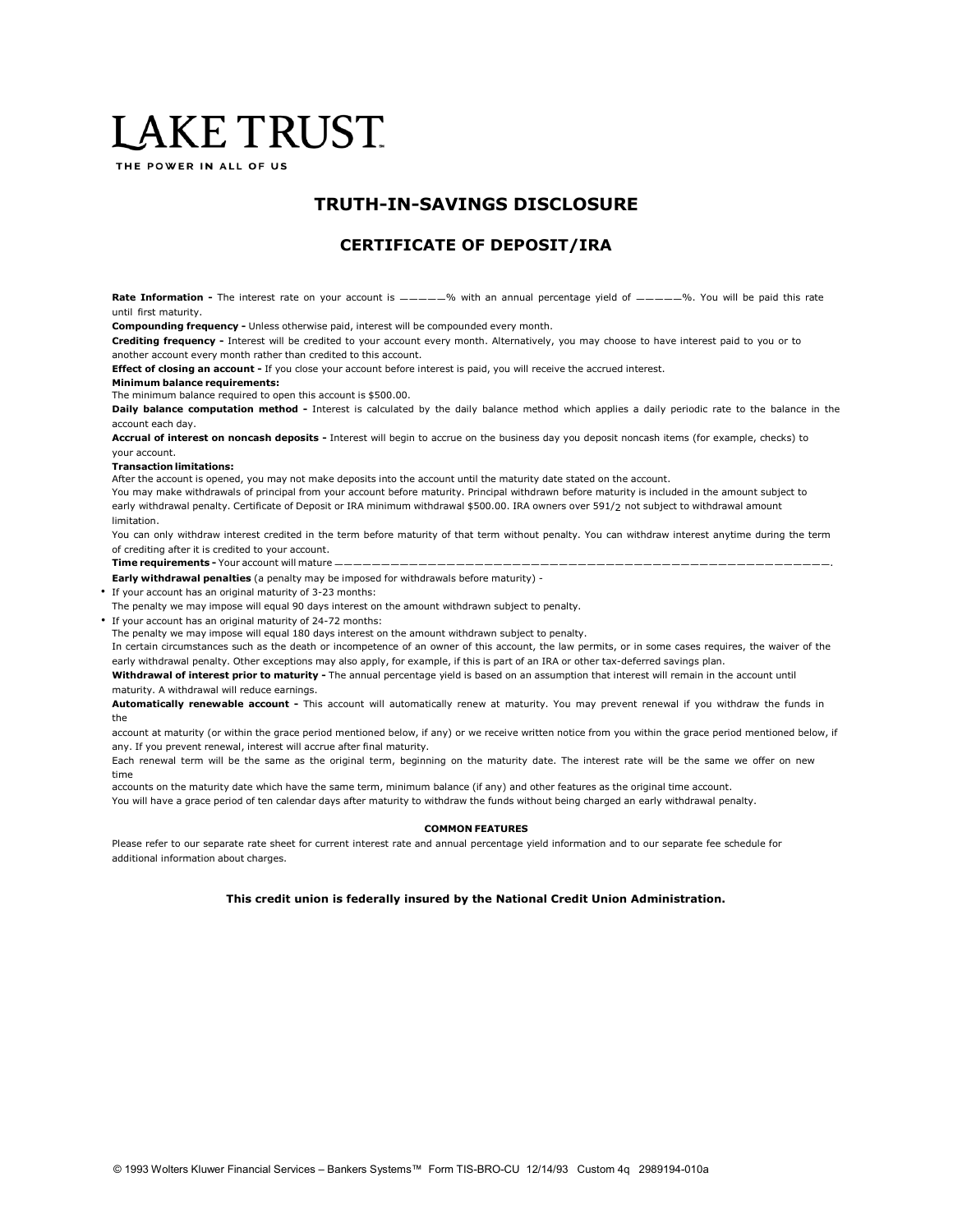## LAKE TRUST.

THE POWER IN ALL OF US

### **TRUTH-IN-SAVINGS DISCLOSURE**

### **CERTIFICATE OF DEPOSIT/IRA**

Rate Information - The interest rate on your account is  $\frac{m}{2}$  with an annual percentage yield of  $\frac{m}{2}$  . You will be paid this rate until first maturity.

**Compounding frequency -** Unless otherwise paid, interest will be compounded every month.

**Crediting frequency -** Interest will be credited to your account every month. Alternatively, you may choose to have interest paid to you or to another account every month rather than credited to this account.

**Effect of closing an account -** If you close your account before interest is paid, you will receive the accrued interest.

#### **Minimum balance requirements:**

The minimum balance required to open this account is \$500.00.

**Daily balance computation method -** Interest is calculated by the daily balance method which applies a daily periodic rate to the balance in the account each day.

**Accrual of interest on noncash deposits -** Interest will begin to accrue on the business day you deposit noncash items (for example, checks) to your account.

#### **Transaction limitations:**

After the account is opened, you may not make deposits into the account until the maturity date stated on the account.

You may make withdrawals of principal from your account before maturity. Principal withdrawn before maturity is included in the amount subject to early withdrawal penalty. Certificate of Deposit or IRA minimum withdrawal \$500.00. IRA owners over 591/2 not subject to withdrawal amount limitation.

You can only withdraw interest credited in the term before maturity of that term without penalty. You can withdraw interest anytime during the term of crediting after it is credited to your account.

**Time requirements - Your account will mature -**

**Early withdrawal penalties** (a penalty may be imposed for withdrawals before maturity) -

- If your account has an original maturity of 3-23 months:
- The penalty we may impose will equal 90 days interest on the amount withdrawn subject to penalty.
- If your account has an original maturity of 24-72 months:
- The penalty we may impose will equal 180 days interest on the amount withdrawn subject to penalty.

In certain circumstances such as the death or incompetence of an owner of this account, the law permits, or in some cases requires, the waiver of the early withdrawal penalty. Other exceptions may also apply, for example, if this is part of an IRA or other tax-deferred savings plan.

**Withdrawal of interest prior to maturity -** The annual percentage yield is based on an assumption that interest will remain in the account until maturity. A withdrawal will reduce earnings.

**Automatically renewable account -** This account will automatically renew at maturity. You may prevent renewal if you withdraw the funds in the

account at maturity (or within the grace period mentioned below, if any) or we receive written notice from you within the grace period mentioned below, if any. If you prevent renewal, interest will accrue after final maturity.

Each renewal term will be the same as the original term, beginning on the maturity date. The interest rate will be the same we offer on new time

accounts on the maturity date which have the same term, minimum balance (if any) and other features as the original time account.

You will have a grace period of ten calendar days after maturity to withdraw the funds without being charged an early withdrawal penalty.

#### **COMMON FEATURES**

Please refer to our separate rate sheet for current interest rate and annual percentage yield information and to our separate fee schedule for additional information about charges.

#### **This credit union is federally insured by the National Credit Union Administration.**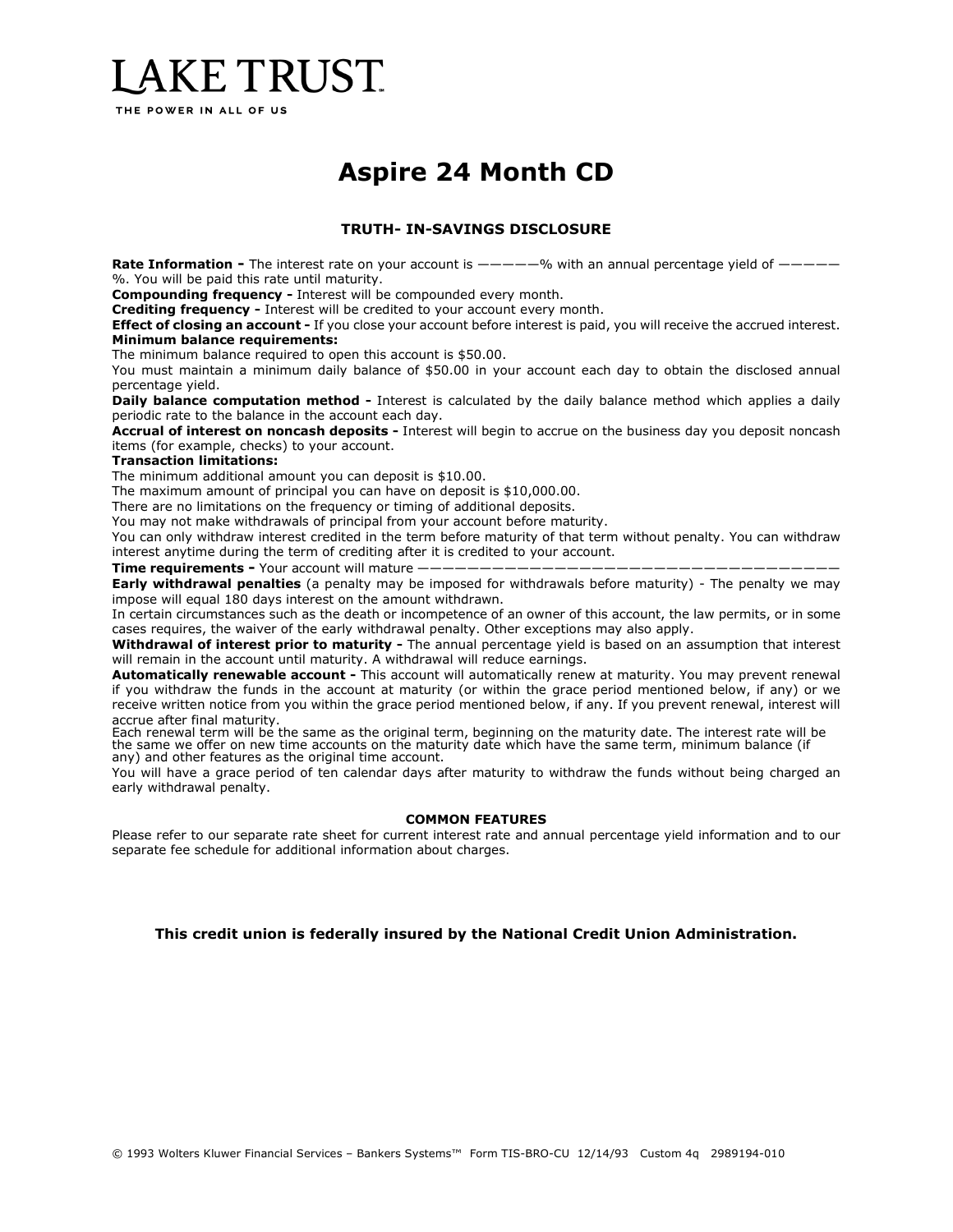# LAKE TRUST

THE POWER IN ALL OF US

### **Aspire 24 Month CD**

#### **TRUTH- IN-SAVINGS DISCLOSURE**

**Rate Information -** The interest rate on your account is  $---$ ——<sup>6</sup> with an annual percentage yield of  $---$ %. You will be paid this rate until maturity.

**Compounding frequency -** Interest will be compounded every month.

**Crediting frequency -** Interest will be credited to your account every month.

**Effect of closing an account -** If you close your account before interest is paid, you will receive the accrued interest. **Minimum balance requirements:**

The minimum balance required to open this account is \$50.00.

You must maintain a minimum daily balance of \$50.00 in your account each day to obtain the disclosed annual percentage yield.

**Daily balance computation method -** Interest is calculated by the daily balance method which applies a daily periodic rate to the balance in the account each day.

**Accrual of interest on noncash deposits -** Interest will begin to accrue on the business day you deposit noncash items (for example, checks) to your account.

#### **Transaction limitations:**

The minimum additional amount you can deposit is \$10.00.

The maximum amount of principal you can have on deposit is \$10,000.00.

There are no limitations on the frequency or timing of additional deposits.

You may not make withdrawals of principal from your account before maturity.

You can only withdraw interest credited in the term before maturity of that term without penalty. You can withdraw interest anytime during the term of crediting after it is credited to your account.

**Time requirements -** Your account will mature  $-$ 

**Early withdrawal penalties** (a penalty may be imposed for withdrawals before maturity) - The penalty we may impose will equal 180 days interest on the amount withdrawn.

In certain circumstances such as the death or incompetence of an owner of this account, the law permits, or in some cases requires, the waiver of the early withdrawal penalty. Other exceptions may also apply.

**Withdrawal of interest prior to maturity -** The annual percentage yield is based on an assumption that interest will remain in the account until maturity. A withdrawal will reduce earnings.

**Automatically renewable account -** This account will automatically renew at maturity. You may prevent renewal if you withdraw the funds in the account at maturity (or within the grace period mentioned below, if any) or we receive written notice from you within the grace period mentioned below, if any. If you prevent renewal, interest will accrue after final maturity.

Each renewal term will be the same as the original term, beginning on the maturity date. The interest rate will be the same we offer on new time accounts on the maturity date which have the same term, minimum balance (if any) and other features as the original time account.

You will have a grace period of ten calendar days after maturity to withdraw the funds without being charged an early withdrawal penalty.

#### **COMMON FEATURES**

Please refer to our separate rate sheet for current interest rate and annual percentage yield information and to our separate fee schedule for additional information about charges.

#### **This credit union is federally insured by the National Credit Union Administration.**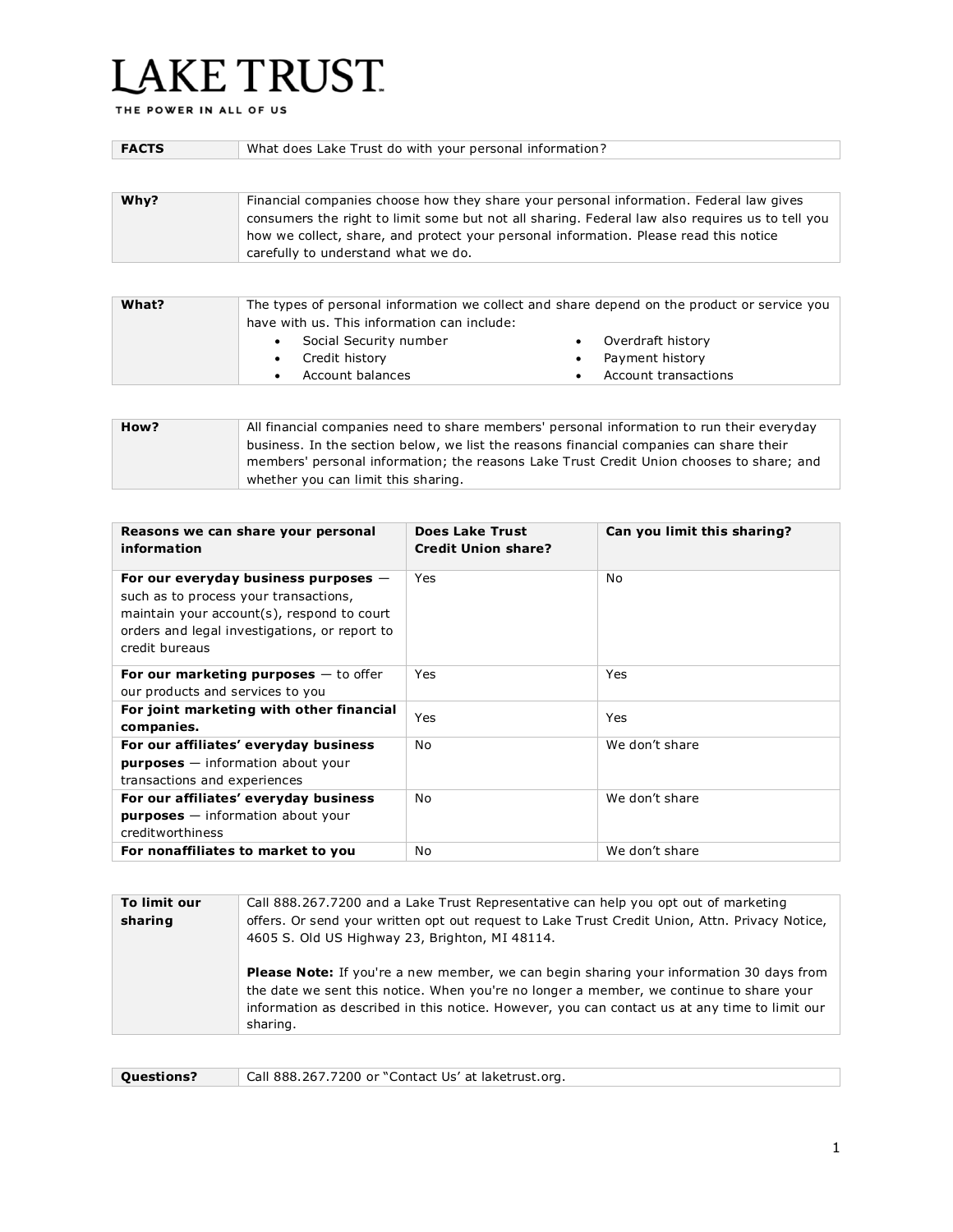# LAKE TRUST.

THE POWER IN ALL OF US

| <b>FACTS</b> | What does Lake Trust do with your personal information?                                                                                                                                                                                                                                                                   |  |
|--------------|---------------------------------------------------------------------------------------------------------------------------------------------------------------------------------------------------------------------------------------------------------------------------------------------------------------------------|--|
|              |                                                                                                                                                                                                                                                                                                                           |  |
| Why?         | Financial companies choose how they share your personal information. Federal law gives<br>consumers the right to limit some but not all sharing. Federal law also requires us to tell you<br>how we collect, share, and protect your personal information. Please read this notice<br>carefully to understand what we do. |  |
|              |                                                                                                                                                                                                                                                                                                                           |  |
| What?        | The types of personal information we collect and share depend on the product or service you<br>have with us. This information can include:<br>Social Security number<br>Overdraft history                                                                                                                                 |  |
|              |                                                                                                                                                                                                                                                                                                                           |  |

• Credit history Account balances • Payment history

• Account transactions

| How? | All financial companies need to share members' personal information to run their everyday |
|------|-------------------------------------------------------------------------------------------|
|      | business. In the section below, we list the reasons financial companies can share their   |
|      | members' personal information; the reasons Lake Trust Credit Union chooses to share; and  |
|      | whether you can limit this sharing.                                                       |

| Reasons we can share your personal<br>information                                                                                                                                                | Does Lake Trust<br><b>Credit Union share?</b> | Can you limit this sharing? |
|--------------------------------------------------------------------------------------------------------------------------------------------------------------------------------------------------|-----------------------------------------------|-----------------------------|
| For our everyday business purposes $-$<br>such as to process your transactions,<br>maintain your account(s), respond to court<br>orders and legal investigations, or report to<br>credit bureaus | Yes                                           | No.                         |
| For our marketing purposes $-$ to offer<br>our products and services to you                                                                                                                      | Yes                                           | Yes                         |
| For joint marketing with other financial<br>companies.                                                                                                                                           | Yes                                           | <b>Yes</b>                  |
| For our affiliates' everyday business<br>$purpose - information about your$<br>transactions and experiences                                                                                      | No                                            | We don't share              |
| For our affiliates' everyday business<br>$purpose - information about your$<br>creditworthiness                                                                                                  | No                                            | We don't share              |
| For nonaffiliates to market to you                                                                                                                                                               | No                                            | We don't share              |

| To limit our<br>sharing | Call 888.267.7200 and a Lake Trust Representative can help you opt out of marketing<br>offers. Or send your written opt out request to Lake Trust Credit Union, Attn. Privacy Notice,<br>4605 S. Old US Highway 23, Brighton, MI 48114.                                                                |
|-------------------------|--------------------------------------------------------------------------------------------------------------------------------------------------------------------------------------------------------------------------------------------------------------------------------------------------------|
|                         | <b>Please Note:</b> If you're a new member, we can begin sharing your information 30 days from<br>the date we sent this notice. When you're no longer a member, we continue to share your<br>information as described in this notice. However, you can contact us at any time to limit our<br>sharing. |

**Questions?** Call 888.267.7200 or "Contact Us' at laketrust.org.